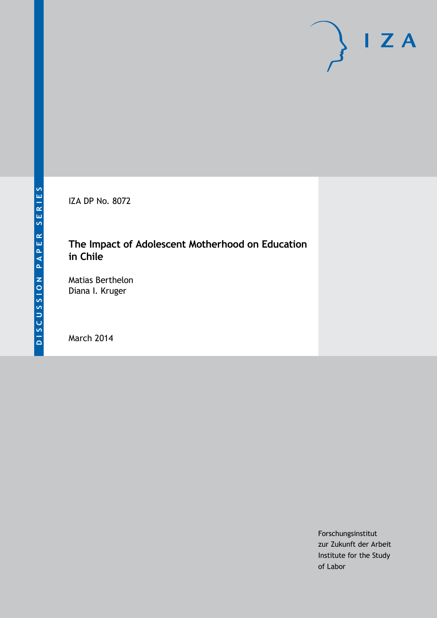IZA DP No. 8072

# **The Impact of Adolescent Motherhood on Education in Chile**

Matias Berthelon Diana I. Kruger

March 2014

Forschungsinstitut zur Zukunft der Arbeit Institute for the Study of Labor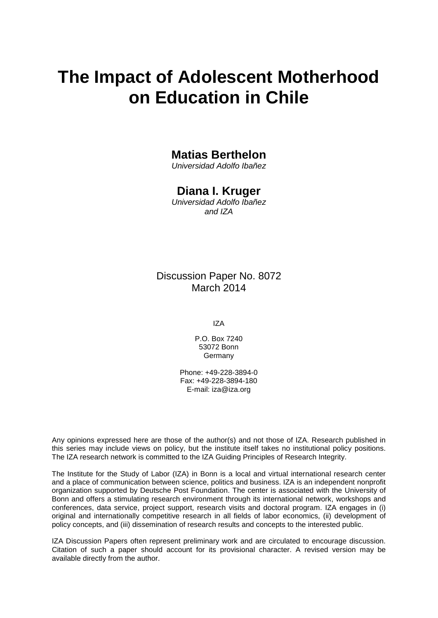# **The Impact of Adolescent Motherhood on Education in Chile**

# **Matias Berthelon**

*Universidad Adolfo Ibañez*

# **Diana I. Kruger**

*Universidad Adolfo Ibañez and IZA*

# Discussion Paper No. 8072 March 2014

IZA

P.O. Box 7240 53072 Bonn Germany

Phone: +49-228-3894-0 Fax: +49-228-3894-180 E-mail: [iza@iza.org](mailto:iza@iza.org)

Any opinions expressed here are those of the author(s) and not those of IZA. Research published in this series may include views on policy, but the institute itself takes no institutional policy positions. The IZA research network is committed to the IZA Guiding Principles of Research Integrity.

The Institute for the Study of Labor (IZA) in Bonn is a local and virtual international research center and a place of communication between science, politics and business. IZA is an independent nonprofit organization supported by Deutsche Post Foundation. The center is associated with the University of Bonn and offers a stimulating research environment through its international network, workshops and conferences, data service, project support, research visits and doctoral program. IZA engages in (i) original and internationally competitive research in all fields of labor economics, (ii) development of policy concepts, and (iii) dissemination of research results and concepts to the interested public.

<span id="page-1-0"></span>IZA Discussion Papers often represent preliminary work and are circulated to encourage discussion. Citation of such a paper should account for its provisional character. A revised version may be available directly from the author.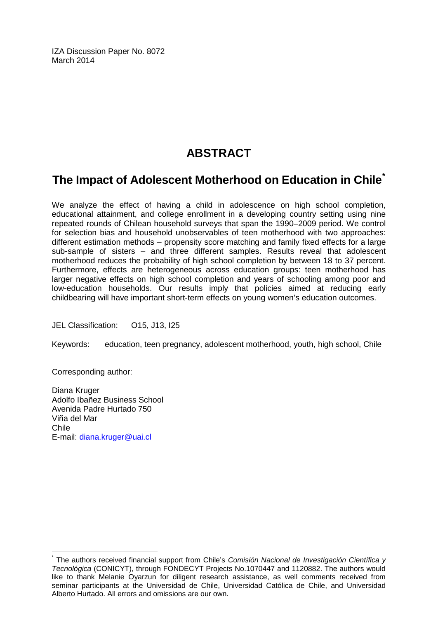IZA Discussion Paper No. 8072 March 2014

# **ABSTRACT**

# **The Impact of Adolescent Motherhood on Education in Chile[\\*](#page-1-0)**

We analyze the effect of having a child in adolescence on high school completion, educational attainment, and college enrollment in a developing country setting using nine repeated rounds of Chilean household surveys that span the 1990–2009 period. We control for selection bias and household unobservables of teen motherhood with two approaches: different estimation methods – propensity score matching and family fixed effects for a large sub-sample of sisters – and three different samples. Results reveal that adolescent motherhood reduces the probability of high school completion by between 18 to 37 percent. Furthermore, effects are heterogeneous across education groups: teen motherhood has larger negative effects on high school completion and years of schooling among poor and low-education households. Our results imply that policies aimed at reducing early childbearing will have important short-term effects on young women's education outcomes.

JEL Classification: O15, J13, I25

Keywords: education, teen pregnancy, adolescent motherhood, youth, high school, Chile

Corresponding author:

Diana Kruger Adolfo Ibañez Business School Avenida Padre Hurtado 750 Viña del Mar Chile E-mail: [diana.kruger@uai.cl](mailto:diana.kruger@uai.cl)

\* The authors received financial support from Chile's *Comisión Nacional de Investigación Científica y Tecnológica* (CONICYT), through FONDECYT Projects No.1070447 and 1120882. The authors would like to thank Melanie Oyarzun for diligent research assistance, as well comments received from seminar participants at the Universidad de Chile, Universidad Católica de Chile, and Universidad Alberto Hurtado. All errors and omissions are our own.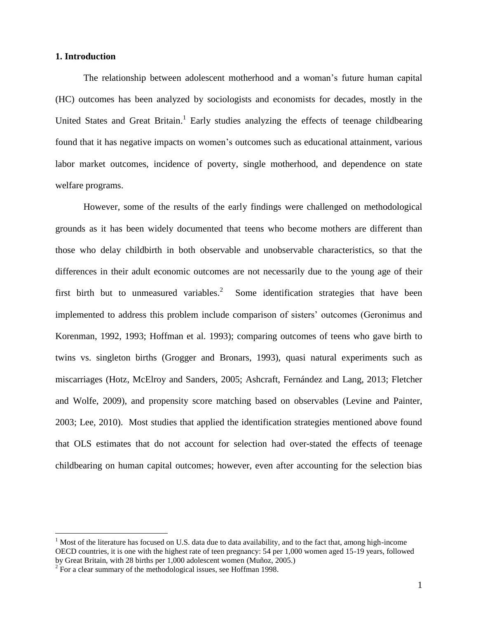#### **1. Introduction**

The relationship between adolescent motherhood and a woman's future human capital (HC) outcomes has been analyzed by sociologists and economists for decades, mostly in the United States and Great Britain.<sup>1</sup> Early studies analyzing the effects of teenage childbearing found that it has negative impacts on women's outcomes such as educational attainment, various labor market outcomes, incidence of poverty, single motherhood, and dependence on state welfare programs.

However, some of the results of the early findings were challenged on methodological grounds as it has been widely documented that teens who become mothers are different than those who delay childbirth in both observable and unobservable characteristics, so that the differences in their adult economic outcomes are not necessarily due to the young age of their first birth but to unmeasured variables.<sup>2</sup> Some identification strategies that have been implemented to address this problem include comparison of sisters' outcomes (Geronimus and Korenman, 1992, 1993; Hoffman et al. 1993); comparing outcomes of teens who gave birth to twins vs. singleton births (Grogger and Bronars, 1993), quasi natural experiments such as miscarriages (Hotz, McElroy and Sanders, 2005; Ashcraft, Fernández and Lang, 2013; Fletcher and Wolfe, 2009), and propensity score matching based on observables (Levine and Painter, 2003; Lee, 2010). Most studies that applied the identification strategies mentioned above found that OLS estimates that do not account for selection had over-stated the effects of teenage childbearing on human capital outcomes; however, even after accounting for the selection bias

<sup>1</sup> Most of the literature has focused on U.S. data due to data availability, and to the fact that, among high-income OECD countries, it is one with the highest rate of teen pregnancy: 54 per 1,000 women aged 15-19 years, followed by Great Britain, with 28 births per 1,000 adolescent women (Muñoz, 2005.)

 $2^{2}$  For a clear summary of the methodological issues, see Hoffman 1998.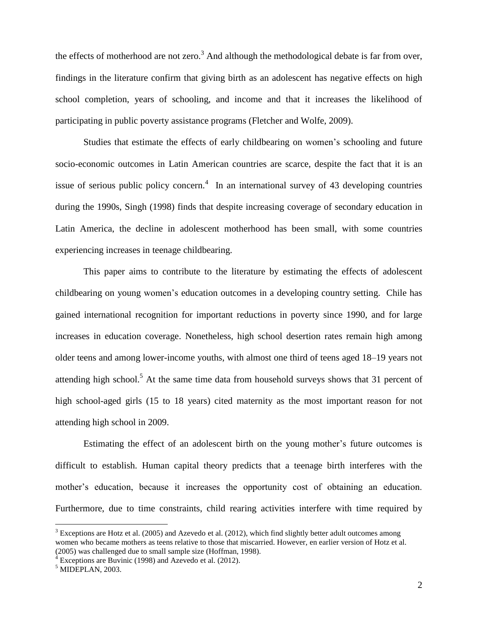the effects of motherhood are not zero.<sup>3</sup> And although the methodological debate is far from over, findings in the literature confirm that giving birth as an adolescent has negative effects on high school completion, years of schooling, and income and that it increases the likelihood of participating in public poverty assistance programs (Fletcher and Wolfe, 2009).

Studies that estimate the effects of early childbearing on women's schooling and future socio-economic outcomes in Latin American countries are scarce, despite the fact that it is an issue of serious public policy concern. $4\,$  In an international survey of 43 developing countries during the 1990s, Singh (1998) finds that despite increasing coverage of secondary education in Latin America, the decline in adolescent motherhood has been small, with some countries experiencing increases in teenage childbearing.

This paper aims to contribute to the literature by estimating the effects of adolescent childbearing on young women's education outcomes in a developing country setting. Chile has gained international recognition for important reductions in poverty since 1990, and for large increases in education coverage. Nonetheless, high school desertion rates remain high among older teens and among lower-income youths, with almost one third of teens aged 18–19 years not attending high school.<sup>5</sup> At the same time data from household surveys shows that 31 percent of high school-aged girls (15 to 18 years) cited maternity as the most important reason for not attending high school in 2009.

Estimating the effect of an adolescent birth on the young mother's future outcomes is difficult to establish. Human capital theory predicts that a teenage birth interferes with the mother's education, because it increases the opportunity cost of obtaining an education. Furthermore, due to time constraints, child rearing activities interfere with time required by

 $3$  Exceptions are Hotz et al. (2005) and Azevedo et al. (2012), which find slightly better adult outcomes among women who became mothers as teens relative to those that miscarried. However, en earlier version of Hotz et al. (2005) was challenged due to small sample size (Hoffman, 1998).

Exceptions are Buvinic (1998) and Azevedo et al. (2012).

 $<sup>5</sup>$  MIDEPLAN, 2003.</sup>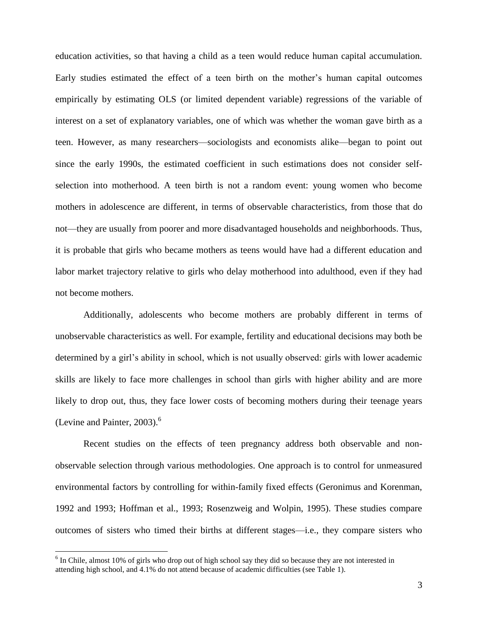education activities, so that having a child as a teen would reduce human capital accumulation. Early studies estimated the effect of a teen birth on the mother's human capital outcomes empirically by estimating OLS (or limited dependent variable) regressions of the variable of interest on a set of explanatory variables, one of which was whether the woman gave birth as a teen. However, as many researchers—sociologists and economists alike—began to point out since the early 1990s, the estimated coefficient in such estimations does not consider selfselection into motherhood. A teen birth is not a random event: young women who become mothers in adolescence are different, in terms of observable characteristics, from those that do not—they are usually from poorer and more disadvantaged households and neighborhoods. Thus, it is probable that girls who became mothers as teens would have had a different education and labor market trajectory relative to girls who delay motherhood into adulthood, even if they had not become mothers.

Additionally, adolescents who become mothers are probably different in terms of unobservable characteristics as well. For example, fertility and educational decisions may both be determined by a girl's ability in school, which is not usually observed: girls with lower academic skills are likely to face more challenges in school than girls with higher ability and are more likely to drop out, thus, they face lower costs of becoming mothers during their teenage years (Levine and Painter,  $2003$ ).<sup>6</sup>

Recent studies on the effects of teen pregnancy address both observable and nonobservable selection through various methodologies. One approach is to control for unmeasured environmental factors by controlling for within-family fixed effects (Geronimus and Korenman, 1992 and 1993; Hoffman et al., 1993; Rosenzweig and Wolpin, 1995). These studies compare outcomes of sisters who timed their births at different stages—i.e., they compare sisters who

<sup>&</sup>lt;sup>6</sup> In Chile, almost 10% of girls who drop out of high school say they did so because they are not interested in attending high school, and 4.1% do not attend because of academic difficulties (see Table 1).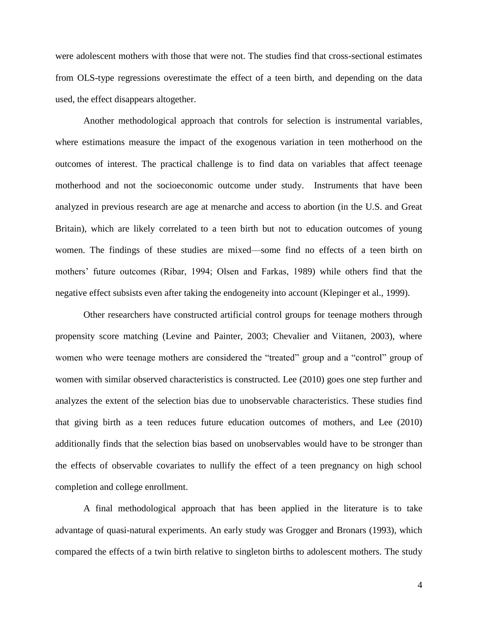were adolescent mothers with those that were not. The studies find that cross-sectional estimates from OLS-type regressions overestimate the effect of a teen birth, and depending on the data used, the effect disappears altogether.

Another methodological approach that controls for selection is instrumental variables, where estimations measure the impact of the exogenous variation in teen motherhood on the outcomes of interest. The practical challenge is to find data on variables that affect teenage motherhood and not the socioeconomic outcome under study. Instruments that have been analyzed in previous research are age at menarche and access to abortion (in the U.S. and Great Britain), which are likely correlated to a teen birth but not to education outcomes of young women. The findings of these studies are mixed—some find no effects of a teen birth on mothers' future outcomes (Ribar, 1994; Olsen and Farkas, 1989) while others find that the negative effect subsists even after taking the endogeneity into account (Klepinger et al., 1999).

Other researchers have constructed artificial control groups for teenage mothers through propensity score matching (Levine and Painter, 2003; Chevalier and Viitanen, 2003), where women who were teenage mothers are considered the "treated" group and a "control" group of women with similar observed characteristics is constructed. Lee (2010) goes one step further and analyzes the extent of the selection bias due to unobservable characteristics. These studies find that giving birth as a teen reduces future education outcomes of mothers, and Lee (2010) additionally finds that the selection bias based on unobservables would have to be stronger than the effects of observable covariates to nullify the effect of a teen pregnancy on high school completion and college enrollment.

A final methodological approach that has been applied in the literature is to take advantage of quasi-natural experiments. An early study was Grogger and Bronars (1993), which compared the effects of a twin birth relative to singleton births to adolescent mothers. The study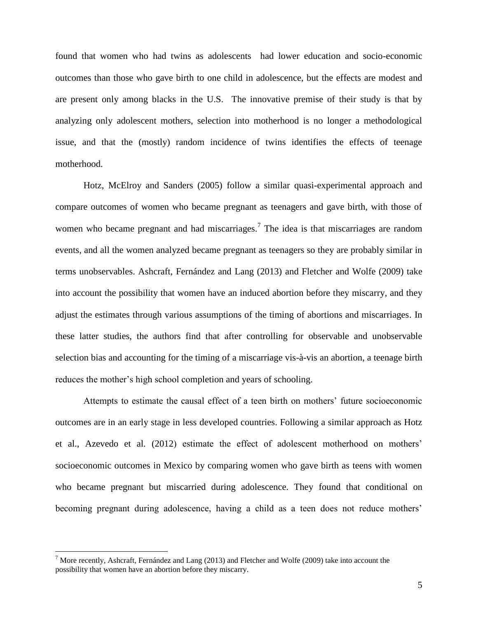found that women who had twins as adolescents had lower education and socio-economic outcomes than those who gave birth to one child in adolescence, but the effects are modest and are present only among blacks in the U.S. The innovative premise of their study is that by analyzing only adolescent mothers, selection into motherhood is no longer a methodological issue, and that the (mostly) random incidence of twins identifies the effects of teenage motherhood.

Hotz, McElroy and Sanders (2005) follow a similar quasi-experimental approach and compare outcomes of women who became pregnant as teenagers and gave birth, with those of women who became pregnant and had miscarriages.<sup>7</sup> The idea is that miscarriages are random events, and all the women analyzed became pregnant as teenagers so they are probably similar in terms unobservables. Ashcraft, Fernández and Lang (2013) and Fletcher and Wolfe (2009) take into account the possibility that women have an induced abortion before they miscarry, and they adjust the estimates through various assumptions of the timing of abortions and miscarriages. In these latter studies, the authors find that after controlling for observable and unobservable selection bias and accounting for the timing of a miscarriage vis-à-vis an abortion, a teenage birth reduces the mother's high school completion and years of schooling.

Attempts to estimate the causal effect of a teen birth on mothers' future socioeconomic outcomes are in an early stage in less developed countries. Following a similar approach as Hotz et al., Azevedo et al. (2012) estimate the effect of adolescent motherhood on mothers' socioeconomic outcomes in Mexico by comparing women who gave birth as teens with women who became pregnant but miscarried during adolescence. They found that conditional on becoming pregnant during adolescence, having a child as a teen does not reduce mothers'

<sup>&</sup>lt;sup>7</sup> More recently, Ashcraft, Fernández and Lang (2013) and Fletcher and Wolfe (2009) take into account the possibility that women have an abortion before they miscarry.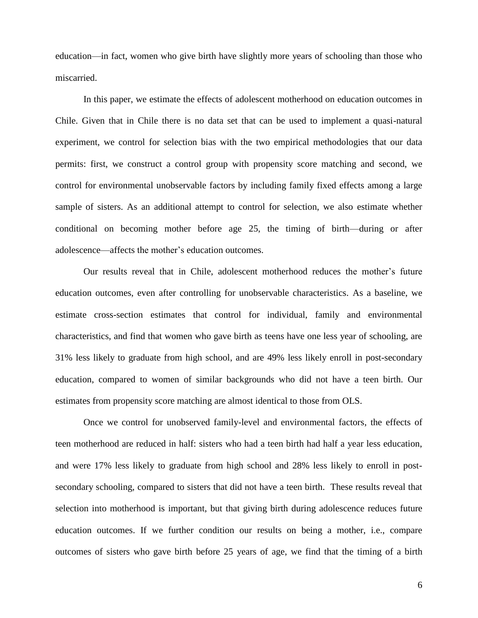education—in fact, women who give birth have slightly more years of schooling than those who miscarried.

In this paper, we estimate the effects of adolescent motherhood on education outcomes in Chile. Given that in Chile there is no data set that can be used to implement a quasi-natural experiment, we control for selection bias with the two empirical methodologies that our data permits: first, we construct a control group with propensity score matching and second, we control for environmental unobservable factors by including family fixed effects among a large sample of sisters. As an additional attempt to control for selection, we also estimate whether conditional on becoming mother before age 25, the timing of birth—during or after adolescence—affects the mother's education outcomes.

Our results reveal that in Chile, adolescent motherhood reduces the mother's future education outcomes, even after controlling for unobservable characteristics. As a baseline, we estimate cross-section estimates that control for individual, family and environmental characteristics, and find that women who gave birth as teens have one less year of schooling, are 31% less likely to graduate from high school, and are 49% less likely enroll in post-secondary education, compared to women of similar backgrounds who did not have a teen birth. Our estimates from propensity score matching are almost identical to those from OLS.

Once we control for unobserved family-level and environmental factors, the effects of teen motherhood are reduced in half: sisters who had a teen birth had half a year less education, and were 17% less likely to graduate from high school and 28% less likely to enroll in postsecondary schooling, compared to sisters that did not have a teen birth. These results reveal that selection into motherhood is important, but that giving birth during adolescence reduces future education outcomes. If we further condition our results on being a mother, i.e., compare outcomes of sisters who gave birth before 25 years of age, we find that the timing of a birth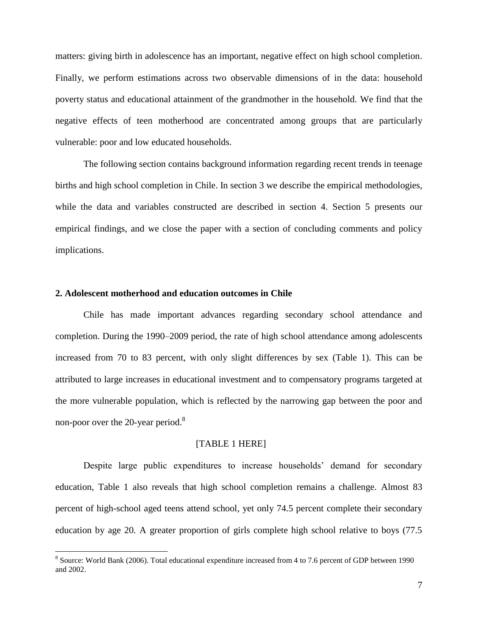matters: giving birth in adolescence has an important, negative effect on high school completion. Finally, we perform estimations across two observable dimensions of in the data: household poverty status and educational attainment of the grandmother in the household. We find that the negative effects of teen motherhood are concentrated among groups that are particularly vulnerable: poor and low educated households.

The following section contains background information regarding recent trends in teenage births and high school completion in Chile. In section 3 we describe the empirical methodologies, while the data and variables constructed are described in section 4. Section 5 presents our empirical findings, and we close the paper with a section of concluding comments and policy implications.

#### **2. Adolescent motherhood and education outcomes in Chile**

 $\overline{a}$ 

Chile has made important advances regarding secondary school attendance and completion. During the 1990–2009 period, the rate of high school attendance among adolescents increased from 70 to 83 percent, with only slight differences by sex (Table 1). This can be attributed to large increases in educational investment and to compensatory programs targeted at the more vulnerable population, which is reflected by the narrowing gap between the poor and non-poor over the 20-year period.<sup>8</sup>

#### [TABLE 1 HERE]

Despite large public expenditures to increase households' demand for secondary education, Table 1 also reveals that high school completion remains a challenge. Almost 83 percent of high-school aged teens attend school, yet only 74.5 percent complete their secondary education by age 20. A greater proportion of girls complete high school relative to boys (77.5

<sup>&</sup>lt;sup>8</sup> Source: World Bank (2006). Total educational expenditure increased from 4 to 7.6 percent of GDP between 1990 and 2002.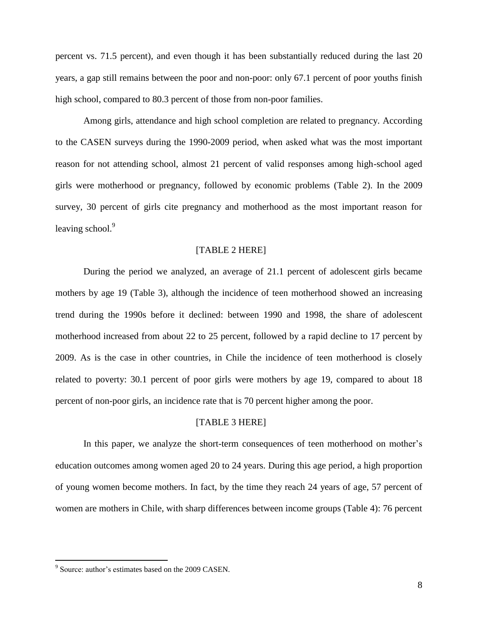percent vs. 71.5 percent), and even though it has been substantially reduced during the last 20 years, a gap still remains between the poor and non-poor: only 67.1 percent of poor youths finish high school, compared to 80.3 percent of those from non-poor families.

Among girls, attendance and high school completion are related to pregnancy. According to the CASEN surveys during the 1990-2009 period, when asked what was the most important reason for not attending school, almost 21 percent of valid responses among high-school aged girls were motherhood or pregnancy, followed by economic problems (Table 2). In the 2009 survey, 30 percent of girls cite pregnancy and motherhood as the most important reason for leaving school. $9$ 

#### [TABLE 2 HERE]

During the period we analyzed, an average of 21.1 percent of adolescent girls became mothers by age 19 (Table 3), although the incidence of teen motherhood showed an increasing trend during the 1990s before it declined: between 1990 and 1998, the share of adolescent motherhood increased from about 22 to 25 percent, followed by a rapid decline to 17 percent by 2009. As is the case in other countries, in Chile the incidence of teen motherhood is closely related to poverty: 30.1 percent of poor girls were mothers by age 19, compared to about 18 percent of non-poor girls, an incidence rate that is 70 percent higher among the poor.

#### [TABLE 3 HERE]

In this paper, we analyze the short-term consequences of teen motherhood on mother's education outcomes among women aged 20 to 24 years. During this age period, a high proportion of young women become mothers. In fact, by the time they reach 24 years of age, 57 percent of women are mothers in Chile, with sharp differences between income groups (Table 4): 76 percent

<sup>&</sup>lt;sup>9</sup> Source: author's estimates based on the 2009 CASEN.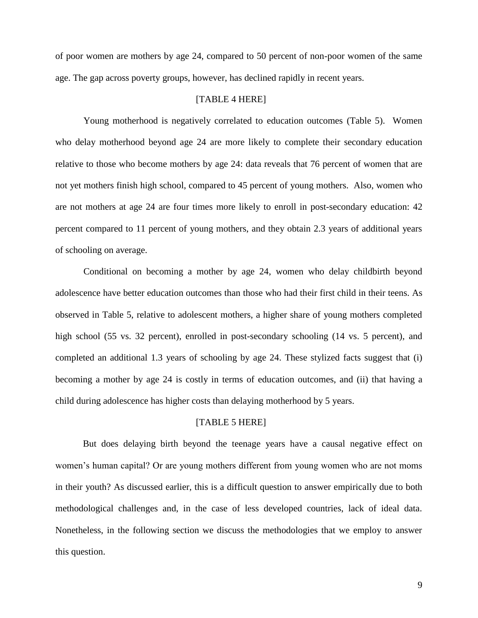of poor women are mothers by age 24, compared to 50 percent of non-poor women of the same age. The gap across poverty groups, however, has declined rapidly in recent years.

#### [TABLE 4 HERE]

Young motherhood is negatively correlated to education outcomes (Table 5). Women who delay motherhood beyond age 24 are more likely to complete their secondary education relative to those who become mothers by age 24: data reveals that 76 percent of women that are not yet mothers finish high school, compared to 45 percent of young mothers. Also, women who are not mothers at age 24 are four times more likely to enroll in post-secondary education: 42 percent compared to 11 percent of young mothers, and they obtain 2.3 years of additional years of schooling on average.

Conditional on becoming a mother by age 24, women who delay childbirth beyond adolescence have better education outcomes than those who had their first child in their teens. As observed in Table 5, relative to adolescent mothers, a higher share of young mothers completed high school (55 vs. 32 percent), enrolled in post-secondary schooling (14 vs. 5 percent), and completed an additional 1.3 years of schooling by age 24. These stylized facts suggest that (i) becoming a mother by age 24 is costly in terms of education outcomes, and (ii) that having a child during adolescence has higher costs than delaying motherhood by 5 years.

#### [TABLE 5 HERE]

But does delaying birth beyond the teenage years have a causal negative effect on women's human capital? Or are young mothers different from young women who are not moms in their youth? As discussed earlier, this is a difficult question to answer empirically due to both methodological challenges and, in the case of less developed countries, lack of ideal data. Nonetheless, in the following section we discuss the methodologies that we employ to answer this question.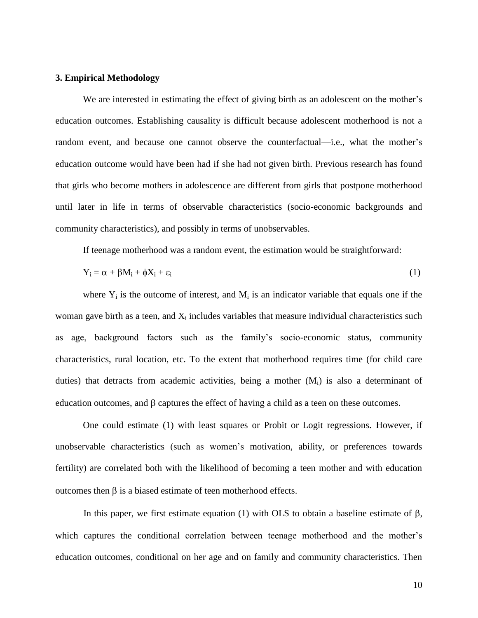#### **3. Empirical Methodology**

We are interested in estimating the effect of giving birth as an adolescent on the mother's education outcomes. Establishing causality is difficult because adolescent motherhood is not a random event, and because one cannot observe the counterfactual—i.e., what the mother's education outcome would have been had if she had not given birth. Previous research has found that girls who become mothers in adolescence are different from girls that postpone motherhood until later in life in terms of observable characteristics (socio-economic backgrounds and community characteristics), and possibly in terms of unobservables.

If teenage motherhood was a random event, the estimation would be straightforward:

$$
Y_i = \alpha + \beta M_i + \phi X_i + \varepsilon_i \tag{1}
$$

where  $Y_i$  is the outcome of interest, and  $M_i$  is an indicator variable that equals one if the woman gave birth as a teen, and  $X_i$  includes variables that measure individual characteristics such as age, background factors such as the family's socio-economic status, community characteristics, rural location, etc. To the extent that motherhood requires time (for child care duties) that detracts from academic activities, being a mother  $(M<sub>i</sub>)$  is also a determinant of education outcomes, and  $\beta$  captures the effect of having a child as a teen on these outcomes.

One could estimate (1) with least squares or Probit or Logit regressions. However, if unobservable characteristics (such as women's motivation, ability, or preferences towards fertility) are correlated both with the likelihood of becoming a teen mother and with education outcomes then  $\beta$  is a biased estimate of teen motherhood effects.

In this paper, we first estimate equation (1) with OLS to obtain a baseline estimate of  $\beta$ , which captures the conditional correlation between teenage motherhood and the mother's education outcomes, conditional on her age and on family and community characteristics. Then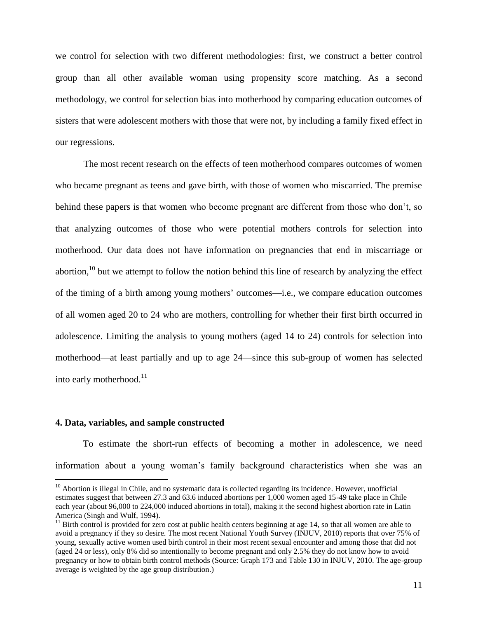we control for selection with two different methodologies: first, we construct a better control group than all other available woman using propensity score matching. As a second methodology, we control for selection bias into motherhood by comparing education outcomes of sisters that were adolescent mothers with those that were not, by including a family fixed effect in our regressions.

The most recent research on the effects of teen motherhood compares outcomes of women who became pregnant as teens and gave birth, with those of women who miscarried. The premise behind these papers is that women who become pregnant are different from those who don't, so that analyzing outcomes of those who were potential mothers controls for selection into motherhood. Our data does not have information on pregnancies that end in miscarriage or abortion,  $10$  but we attempt to follow the notion behind this line of research by analyzing the effect of the timing of a birth among young mothers' outcomes—i.e., we compare education outcomes of all women aged 20 to 24 who are mothers, controlling for whether their first birth occurred in adolescence. Limiting the analysis to young mothers (aged 14 to 24) controls for selection into motherhood—at least partially and up to age 24—since this sub-group of women has selected into early motherhood. $11$ 

#### **4. Data, variables, and sample constructed**

 $\overline{a}$ 

To estimate the short-run effects of becoming a mother in adolescence, we need information about a young woman's family background characteristics when she was an

 $10$  Abortion is illegal in Chile, and no systematic data is collected regarding its incidence. However, unofficial estimates suggest that between 27.3 and 63.6 induced abortions per 1,000 women aged 15-49 take place in Chile each year (about 96,000 to 224,000 induced abortions in total), making it the second highest abortion rate in Latin America (Singh and Wulf, 1994).

 $11$  Birth control is provided for zero cost at public health centers beginning at age 14, so that all women are able to avoid a pregnancy if they so desire. The most recent National Youth Survey (INJUV, 2010) reports that over 75% of young, sexually active women used birth control in their most recent sexual encounter and among those that did not (aged 24 or less), only 8% did so intentionally to become pregnant and only 2.5% they do not know how to avoid pregnancy or how to obtain birth control methods (Source: Graph 173 and Table 130 in INJUV, 2010. The age-group average is weighted by the age group distribution.)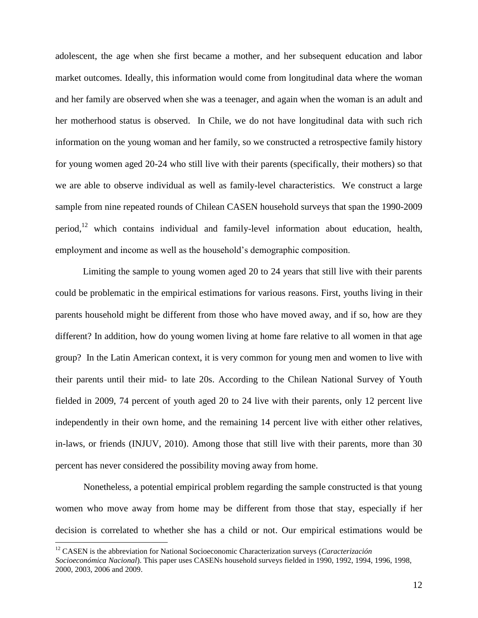adolescent, the age when she first became a mother, and her subsequent education and labor market outcomes. Ideally, this information would come from longitudinal data where the woman and her family are observed when she was a teenager, and again when the woman is an adult and her motherhood status is observed. In Chile, we do not have longitudinal data with such rich information on the young woman and her family, so we constructed a retrospective family history for young women aged 20-24 who still live with their parents (specifically, their mothers) so that we are able to observe individual as well as family-level characteristics. We construct a large sample from nine repeated rounds of Chilean CASEN household surveys that span the 1990-2009 period,<sup>12</sup> which contains individual and family-level information about education, health, employment and income as well as the household's demographic composition.

Limiting the sample to young women aged 20 to 24 years that still live with their parents could be problematic in the empirical estimations for various reasons. First, youths living in their parents household might be different from those who have moved away, and if so, how are they different? In addition, how do young women living at home fare relative to all women in that age group? In the Latin American context, it is very common for young men and women to live with their parents until their mid- to late 20s. According to the Chilean National Survey of Youth fielded in 2009, 74 percent of youth aged 20 to 24 live with their parents, only 12 percent live independently in their own home, and the remaining 14 percent live with either other relatives, in-laws, or friends (INJUV, 2010). Among those that still live with their parents, more than 30 percent has never considered the possibility moving away from home.

Nonetheless, a potential empirical problem regarding the sample constructed is that young women who move away from home may be different from those that stay, especially if her decision is correlated to whether she has a child or not. Our empirical estimations would be

<sup>12</sup> CASEN is the abbreviation for National Socioeconomic Characterization surveys (*Caracterización Socioeconómica Nacional*). This paper uses CASENs household surveys fielded in 1990, 1992, 1994, 1996, 1998, 2000, 2003, 2006 and 2009.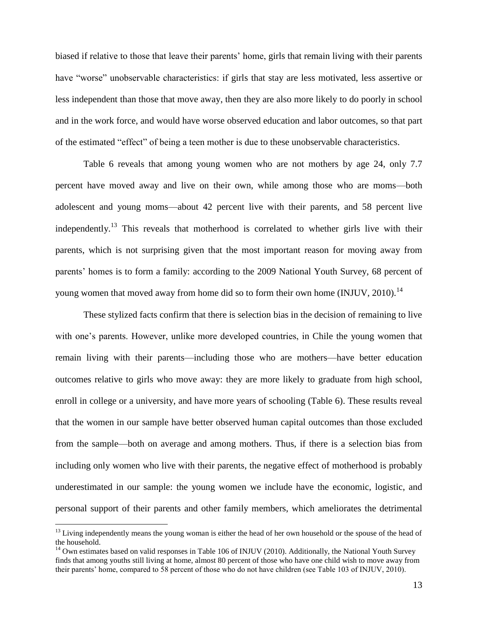biased if relative to those that leave their parents' home, girls that remain living with their parents have "worse" unobservable characteristics: if girls that stay are less motivated, less assertive or less independent than those that move away, then they are also more likely to do poorly in school and in the work force, and would have worse observed education and labor outcomes, so that part of the estimated "effect" of being a teen mother is due to these unobservable characteristics.

Table 6 reveals that among young women who are not mothers by age 24, only 7.7 percent have moved away and live on their own, while among those who are moms—both adolescent and young moms—about 42 percent live with their parents, and 58 percent live independently.<sup>13</sup> This reveals that motherhood is correlated to whether girls live with their parents, which is not surprising given that the most important reason for moving away from parents' homes is to form a family: according to the 2009 National Youth Survey, 68 percent of young women that moved away from home did so to form their own home (INJUV, 2010).<sup>14</sup>

These stylized facts confirm that there is selection bias in the decision of remaining to live with one's parents. However, unlike more developed countries, in Chile the young women that remain living with their parents—including those who are mothers—have better education outcomes relative to girls who move away: they are more likely to graduate from high school, enroll in college or a university, and have more years of schooling (Table 6). These results reveal that the women in our sample have better observed human capital outcomes than those excluded from the sample—both on average and among mothers. Thus, if there is a selection bias from including only women who live with their parents, the negative effect of motherhood is probably underestimated in our sample: the young women we include have the economic, logistic, and personal support of their parents and other family members, which ameliorates the detrimental

 $13$  Living independently means the young woman is either the head of her own household or the spouse of the head of the household.

<sup>&</sup>lt;sup>14</sup> Own estimates based on valid responses in Table 106 of INJUV (2010). Additionally, the National Youth Survey finds that among youths still living at home, almost 80 percent of those who have one child wish to move away from their parents' home, compared to 58 percent of those who do not have children (see Table 103 of INJUV, 2010).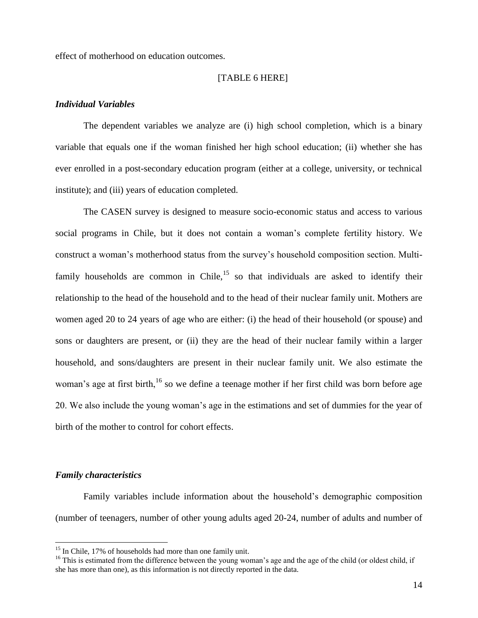effect of motherhood on education outcomes.

#### [TABLE 6 HERE]

#### *Individual Variables*

The dependent variables we analyze are (i) high school completion, which is a binary variable that equals one if the woman finished her high school education; (ii) whether she has ever enrolled in a post-secondary education program (either at a college, university, or technical institute); and (iii) years of education completed.

The CASEN survey is designed to measure socio-economic status and access to various social programs in Chile, but it does not contain a woman's complete fertility history. We construct a woman's motherhood status from the survey's household composition section. Multifamily households are common in Chile,<sup>15</sup> so that individuals are asked to identify their relationship to the head of the household and to the head of their nuclear family unit. Mothers are women aged 20 to 24 years of age who are either: (i) the head of their household (or spouse) and sons or daughters are present, or (ii) they are the head of their nuclear family within a larger household, and sons/daughters are present in their nuclear family unit. We also estimate the woman's age at first birth,<sup>16</sup> so we define a teenage mother if her first child was born before age 20. We also include the young woman's age in the estimations and set of dummies for the year of birth of the mother to control for cohort effects.

#### *Family characteristics*

 $\overline{a}$ 

Family variables include information about the household's demographic composition (number of teenagers, number of other young adults aged 20-24, number of adults and number of

 $15$  In Chile, 17% of households had more than one family unit.

 $16$  This is estimated from the difference between the young woman's age and the age of the child (or oldest child, if she has more than one), as this information is not directly reported in the data.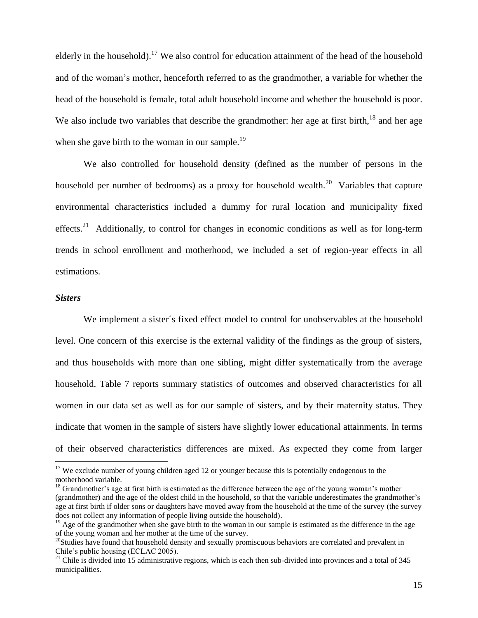elderly in the household).<sup>17</sup> We also control for education attainment of the head of the household and of the woman's mother, henceforth referred to as the grandmother, a variable for whether the head of the household is female, total adult household income and whether the household is poor. We also include two variables that describe the grandmother: her age at first birth, $^{18}$  and her age when she gave birth to the woman in our sample.<sup>19</sup>

We also controlled for household density (defined as the number of persons in the household per number of bedrooms) as a proxy for household wealth.<sup>20</sup> Variables that capture environmental characteristics included a dummy for rural location and municipality fixed effects.<sup>21</sup> Additionally, to control for changes in economic conditions as well as for long-term trends in school enrollment and motherhood, we included a set of region-year effects in all estimations.

#### *Sisters*

 $\overline{a}$ 

We implement a sister´s fixed effect model to control for unobservables at the household level. One concern of this exercise is the external validity of the findings as the group of sisters, and thus households with more than one sibling, might differ systematically from the average household. Table 7 reports summary statistics of outcomes and observed characteristics for all women in our data set as well as for our sample of sisters, and by their maternity status. They indicate that women in the sample of sisters have slightly lower educational attainments. In terms of their observed characteristics differences are mixed. As expected they come from larger

 $17$  We exclude number of young children aged 12 or younger because this is potentially endogenous to the motherhood variable.

<sup>&</sup>lt;sup>18</sup> Grandmother's age at first birth is estimated as the difference between the age of the young woman's mother (grandmother) and the age of the oldest child in the household, so that the variable underestimates the grandmother's age at first birth if older sons or daughters have moved away from the household at the time of the survey (the survey does not collect any information of people living outside the household).

<sup>&</sup>lt;sup>19</sup> Age of the grandmother when she gave birth to the woman in our sample is estimated as the difference in the age of the young woman and her mother at the time of the survey.

 $^{20}$ Studies have found that household density and sexually promiscuous behaviors are correlated and prevalent in Chile's public housing (ECLAC 2005).

 $21$  Chile is divided into 15 administrative regions, which is each then sub-divided into provinces and a total of 345 municipalities.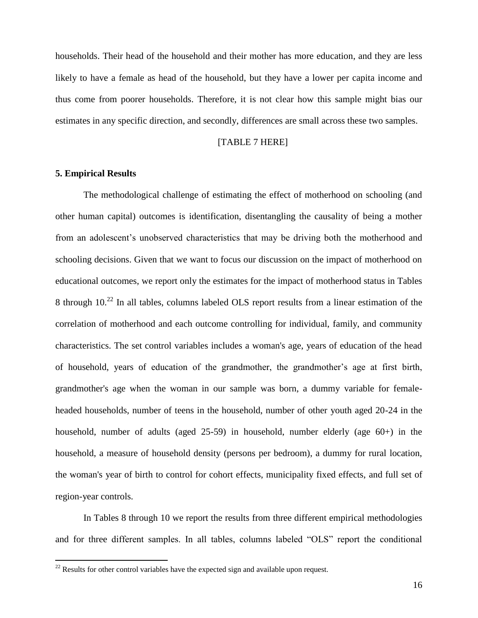households. Their head of the household and their mother has more education, and they are less likely to have a female as head of the household, but they have a lower per capita income and thus come from poorer households. Therefore, it is not clear how this sample might bias our estimates in any specific direction, and secondly, differences are small across these two samples.

#### [TABLE 7 HERE]

#### **5. Empirical Results**

 $\overline{a}$ 

The methodological challenge of estimating the effect of motherhood on schooling (and other human capital) outcomes is identification, disentangling the causality of being a mother from an adolescent's unobserved characteristics that may be driving both the motherhood and schooling decisions. Given that we want to focus our discussion on the impact of motherhood on educational outcomes, we report only the estimates for the impact of motherhood status in Tables 8 through 10.<sup>22</sup> In all tables, columns labeled OLS report results from a linear estimation of the correlation of motherhood and each outcome controlling for individual, family, and community characteristics. The set control variables includes a woman's age, years of education of the head of household, years of education of the grandmother, the grandmother's age at first birth, grandmother's age when the woman in our sample was born, a dummy variable for femaleheaded households, number of teens in the household, number of other youth aged 20-24 in the household, number of adults (aged 25-59) in household, number elderly (age 60+) in the household, a measure of household density (persons per bedroom), a dummy for rural location, the woman's year of birth to control for cohort effects, municipality fixed effects, and full set of region-year controls.

In Tables 8 through 10 we report the results from three different empirical methodologies and for three different samples. In all tables, columns labeled "OLS" report the conditional

 $^{22}$  Results for other control variables have the expected sign and available upon request.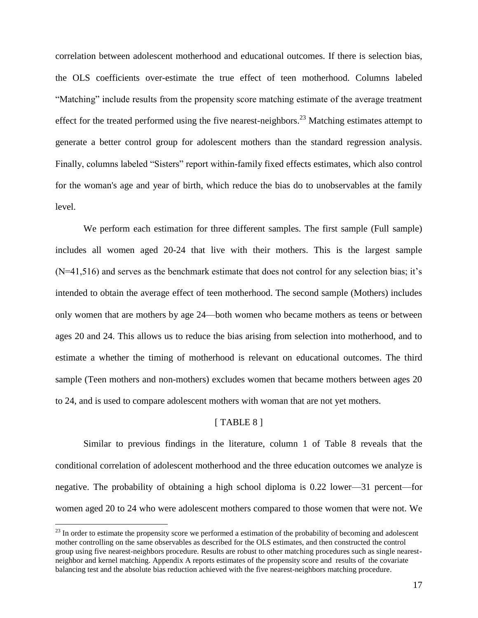correlation between adolescent motherhood and educational outcomes. If there is selection bias, the OLS coefficients over-estimate the true effect of teen motherhood. Columns labeled ―Matching‖ include results from the propensity score matching estimate of the average treatment effect for the treated performed using the five nearest-neighbors.<sup>23</sup> Matching estimates attempt to generate a better control group for adolescent mothers than the standard regression analysis. Finally, columns labeled "Sisters" report within-family fixed effects estimates, which also control for the woman's age and year of birth, which reduce the bias do to unobservables at the family level.

We perform each estimation for three different samples. The first sample (Full sample) includes all women aged 20-24 that live with their mothers. This is the largest sample  $(N=41,516)$  and serves as the benchmark estimate that does not control for any selection bias; it's intended to obtain the average effect of teen motherhood. The second sample (Mothers) includes only women that are mothers by age 24—both women who became mothers as teens or between ages 20 and 24. This allows us to reduce the bias arising from selection into motherhood, and to estimate a whether the timing of motherhood is relevant on educational outcomes. The third sample (Teen mothers and non-mothers) excludes women that became mothers between ages 20 to 24, and is used to compare adolescent mothers with woman that are not yet mothers.

#### $[TABLE 8]$

Similar to previous findings in the literature, column 1 of Table 8 reveals that the conditional correlation of adolescent motherhood and the three education outcomes we analyze is negative. The probability of obtaining a high school diploma is 0.22 lower—31 percent—for women aged 20 to 24 who were adolescent mothers compared to those women that were not. We

 $^{23}$  In order to estimate the propensity score we performed a estimation of the probability of becoming and adolescent mother controlling on the same observables as described for the OLS estimates, and then constructed the control group using five nearest-neighbors procedure. Results are robust to other matching procedures such as single nearestneighbor and kernel matching. Appendix A reports estimates of the propensity score and results of the covariate balancing test and the absolute bias reduction achieved with the five nearest-neighbors matching procedure.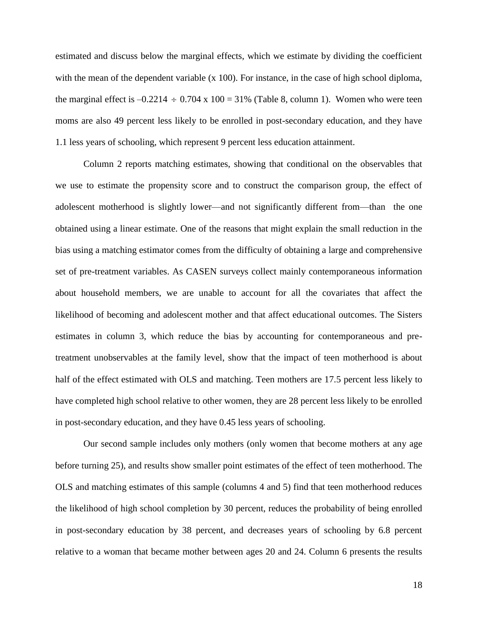estimated and discuss below the marginal effects, which we estimate by dividing the coefficient with the mean of the dependent variable  $(x 100)$ . For instance, in the case of high school diploma, the marginal effect is  $-0.2214 \div 0.704 \times 100 = 31\%$  (Table 8, column 1). Women who were teen moms are also 49 percent less likely to be enrolled in post-secondary education, and they have 1.1 less years of schooling, which represent 9 percent less education attainment.

Column 2 reports matching estimates, showing that conditional on the observables that we use to estimate the propensity score and to construct the comparison group, the effect of adolescent motherhood is slightly lower—and not significantly different from—than the one obtained using a linear estimate. One of the reasons that might explain the small reduction in the bias using a matching estimator comes from the difficulty of obtaining a large and comprehensive set of pre-treatment variables. As CASEN surveys collect mainly contemporaneous information about household members, we are unable to account for all the covariates that affect the likelihood of becoming and adolescent mother and that affect educational outcomes. The Sisters estimates in column 3, which reduce the bias by accounting for contemporaneous and pretreatment unobservables at the family level, show that the impact of teen motherhood is about half of the effect estimated with OLS and matching. Teen mothers are 17.5 percent less likely to have completed high school relative to other women, they are 28 percent less likely to be enrolled in post-secondary education, and they have 0.45 less years of schooling.

Our second sample includes only mothers (only women that become mothers at any age before turning 25), and results show smaller point estimates of the effect of teen motherhood. The OLS and matching estimates of this sample (columns 4 and 5) find that teen motherhood reduces the likelihood of high school completion by 30 percent, reduces the probability of being enrolled in post-secondary education by 38 percent, and decreases years of schooling by 6.8 percent relative to a woman that became mother between ages 20 and 24. Column 6 presents the results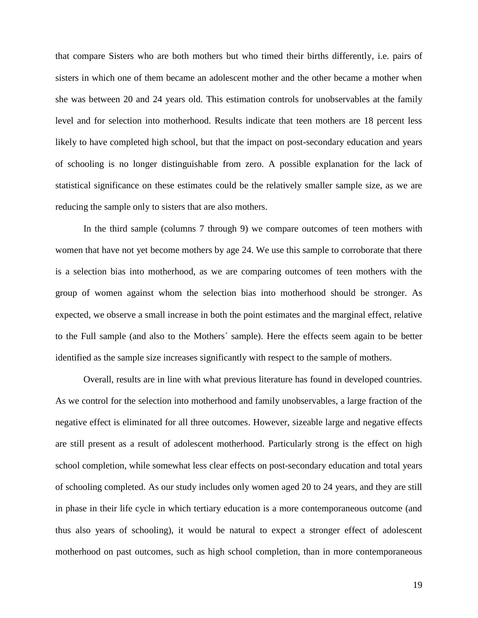that compare Sisters who are both mothers but who timed their births differently, i.e. pairs of sisters in which one of them became an adolescent mother and the other became a mother when she was between 20 and 24 years old. This estimation controls for unobservables at the family level and for selection into motherhood. Results indicate that teen mothers are 18 percent less likely to have completed high school, but that the impact on post-secondary education and years of schooling is no longer distinguishable from zero. A possible explanation for the lack of statistical significance on these estimates could be the relatively smaller sample size, as we are reducing the sample only to sisters that are also mothers.

In the third sample (columns 7 through 9) we compare outcomes of teen mothers with women that have not yet become mothers by age 24. We use this sample to corroborate that there is a selection bias into motherhood, as we are comparing outcomes of teen mothers with the group of women against whom the selection bias into motherhood should be stronger. As expected, we observe a small increase in both the point estimates and the marginal effect, relative to the Full sample (and also to the Mothers´ sample). Here the effects seem again to be better identified as the sample size increases significantly with respect to the sample of mothers.

Overall, results are in line with what previous literature has found in developed countries. As we control for the selection into motherhood and family unobservables, a large fraction of the negative effect is eliminated for all three outcomes. However, sizeable large and negative effects are still present as a result of adolescent motherhood. Particularly strong is the effect on high school completion, while somewhat less clear effects on post-secondary education and total years of schooling completed. As our study includes only women aged 20 to 24 years, and they are still in phase in their life cycle in which tertiary education is a more contemporaneous outcome (and thus also years of schooling), it would be natural to expect a stronger effect of adolescent motherhood on past outcomes, such as high school completion, than in more contemporaneous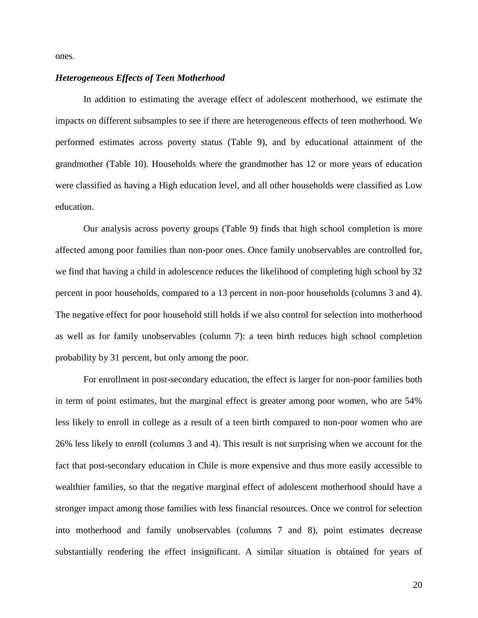ones.

#### *Heterogeneous Effects of Teen Motherhood*

In addition to estimating the average effect of adolescent motherhood, we estimate the impacts on different subsamples to see if there are heterogeneous effects of teen motherhood. We performed estimates across poverty status (Table 9), and by educational attainment of the grandmother (Table 10). Households where the grandmother has 12 or more years of education were classified as having a High education level, and all other households were classified as Low education.

Our analysis across poverty groups (Table 9) finds that high school completion is more affected among poor families than non-poor ones. Once family unobservables are controlled for, we find that having a child in adolescence reduces the likelihood of completing high school by 32 percent in poor households, compared to a 13 percent in non-poor households (columns 3 and 4). The negative effect for poor household still holds if we also control for selection into motherhood as well as for family unobservables (column 7): a teen birth reduces high school completion probability by 31 percent, but only among the poor.

For enrollment in post-secondary education, the effect is larger for non-poor families both in term of point estimates, but the marginal effect is greater among poor women, who are 54% less likely to enroll in college as a result of a teen birth compared to non-poor women who are 26% less likely to enroll (columns 3 and 4). This result is not surprising when we account for the fact that post-secondary education in Chile is more expensive and thus more easily accessible to wealthier families, so that the negative marginal effect of adolescent motherhood should have a stronger impact among those families with less financial resources. Once we control for selection into motherhood and family unobservables (columns 7 and 8), point estimates decrease substantially rendering the effect insignificant. A similar situation is obtained for years of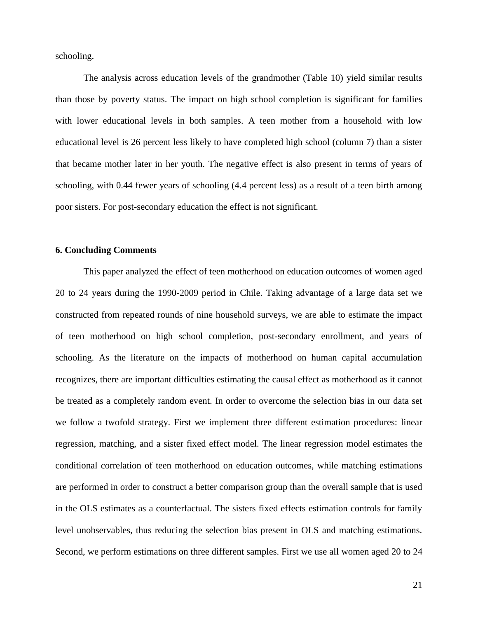schooling.

The analysis across education levels of the grandmother (Table 10) yield similar results than those by poverty status. The impact on high school completion is significant for families with lower educational levels in both samples. A teen mother from a household with low educational level is 26 percent less likely to have completed high school (column 7) than a sister that became mother later in her youth. The negative effect is also present in terms of years of schooling, with 0.44 fewer years of schooling (4.4 percent less) as a result of a teen birth among poor sisters. For post-secondary education the effect is not significant.

#### **6. Concluding Comments**

This paper analyzed the effect of teen motherhood on education outcomes of women aged 20 to 24 years during the 1990-2009 period in Chile. Taking advantage of a large data set we constructed from repeated rounds of nine household surveys, we are able to estimate the impact of teen motherhood on high school completion, post-secondary enrollment, and years of schooling. As the literature on the impacts of motherhood on human capital accumulation recognizes, there are important difficulties estimating the causal effect as motherhood as it cannot be treated as a completely random event. In order to overcome the selection bias in our data set we follow a twofold strategy. First we implement three different estimation procedures: linear regression, matching, and a sister fixed effect model. The linear regression model estimates the conditional correlation of teen motherhood on education outcomes, while matching estimations are performed in order to construct a better comparison group than the overall sample that is used in the OLS estimates as a counterfactual. The sisters fixed effects estimation controls for family level unobservables, thus reducing the selection bias present in OLS and matching estimations. Second, we perform estimations on three different samples. First we use all women aged 20 to 24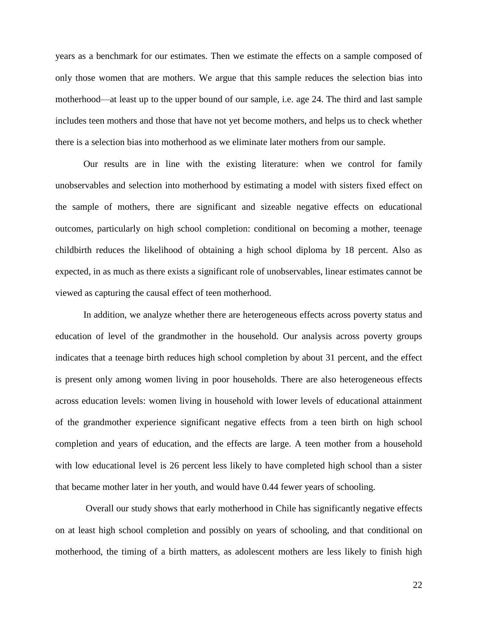years as a benchmark for our estimates. Then we estimate the effects on a sample composed of only those women that are mothers. We argue that this sample reduces the selection bias into motherhood—at least up to the upper bound of our sample, i.e. age 24. The third and last sample includes teen mothers and those that have not yet become mothers, and helps us to check whether there is a selection bias into motherhood as we eliminate later mothers from our sample.

Our results are in line with the existing literature: when we control for family unobservables and selection into motherhood by estimating a model with sisters fixed effect on the sample of mothers, there are significant and sizeable negative effects on educational outcomes, particularly on high school completion: conditional on becoming a mother, teenage childbirth reduces the likelihood of obtaining a high school diploma by 18 percent. Also as expected, in as much as there exists a significant role of unobservables, linear estimates cannot be viewed as capturing the causal effect of teen motherhood.

In addition, we analyze whether there are heterogeneous effects across poverty status and education of level of the grandmother in the household. Our analysis across poverty groups indicates that a teenage birth reduces high school completion by about 31 percent, and the effect is present only among women living in poor households. There are also heterogeneous effects across education levels: women living in household with lower levels of educational attainment of the grandmother experience significant negative effects from a teen birth on high school completion and years of education, and the effects are large. A teen mother from a household with low educational level is 26 percent less likely to have completed high school than a sister that became mother later in her youth, and would have 0.44 fewer years of schooling.

Overall our study shows that early motherhood in Chile has significantly negative effects on at least high school completion and possibly on years of schooling, and that conditional on motherhood, the timing of a birth matters, as adolescent mothers are less likely to finish high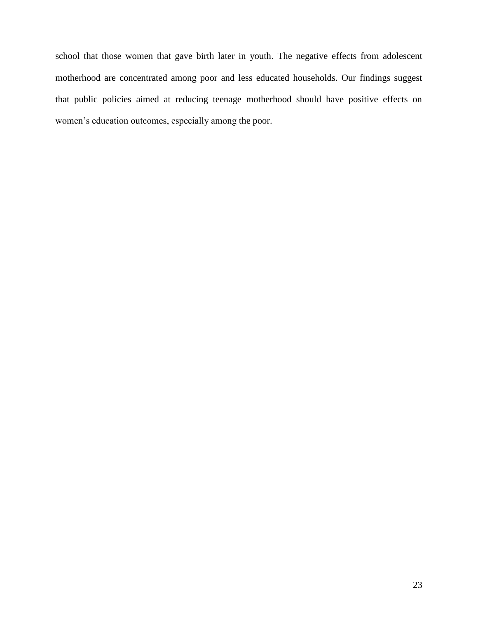school that those women that gave birth later in youth. The negative effects from adolescent motherhood are concentrated among poor and less educated households. Our findings suggest that public policies aimed at reducing teenage motherhood should have positive effects on women's education outcomes, especially among the poor.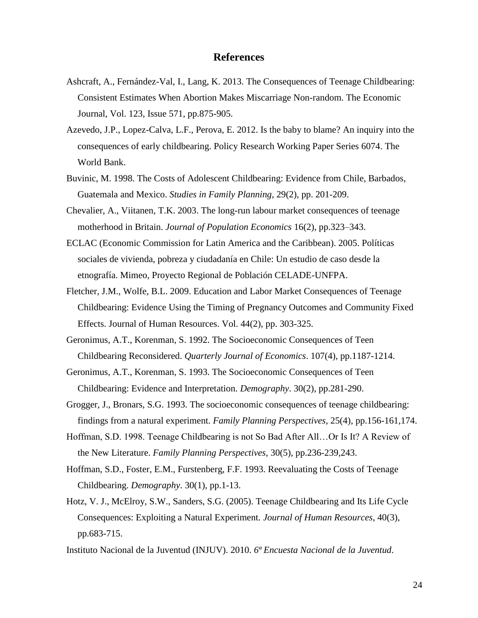### **References**

- Ashcraft, A., Fernández-Val, I., Lang, K. 2013. The Consequences of Teenage Childbearing: Consistent Estimates When Abortion Makes Miscarriage Non-random. The Economic Journal, Vol. 123, Issue 571, pp.875-905.
- Azevedo, J.P., Lopez-Calva, L.F., Perova, E. 2012. Is the baby to blame? An inquiry into the consequences of early childbearing. Policy Research Working Paper Series 6074. The World Bank.
- Buvinic, M. 1998. The Costs of Adolescent Childbearing: Evidence from Chile, Barbados, Guatemala and Mexico. *Studies in Family Planning*, 29(2), pp. 201-209.
- Chevalier, A., Viitanen, T.K. 2003. The long-run labour market consequences of teenage motherhood in Britain. *Journal of Population Economics* 16(2), pp.323–343.
- ECLAC (Economic Commission for Latin America and the Caribbean). 2005. Políticas sociales de vivienda, pobreza y ciudadanía en Chile: Un estudio de caso desde la etnografía. Mimeo, Proyecto Regional de Población CELADE-UNFPA.
- Fletcher, J.M., Wolfe, B.L. 2009. Education and Labor Market Consequences of Teenage Childbearing: Evidence Using the Timing of Pregnancy Outcomes and Community Fixed Effects. Journal of Human Resources. Vol. 44(2), pp. 303-325.
- Geronimus, A.T., Korenman, S. 1992. The Socioeconomic Consequences of Teen Childbearing Reconsidered. *Quarterly Journal of Economics*. 107(4), pp.1187-1214.
- Geronimus, A.T., Korenman, S. 1993. The Socioeconomic Consequences of Teen Childbearing: Evidence and Interpretation. *Demography*. 30(2), pp.281-290.
- Grogger, J., Bronars, S.G. 1993. The socioeconomic consequences of teenage childbearing: findings from a natural experiment. *Family Planning Perspectives*, 25(4), pp.156-161,174.
- Hoffman, S.D. 1998. Teenage Childbearing is not So Bad After All…Or Is It? A Review of the New Literature. *Family Planning Perspectives*, 30(5), pp.236-239,243.
- Hoffman, S.D., Foster, E.M., Furstenberg, F.F. 1993. Reevaluating the Costs of Teenage Childbearing. *Demography*. 30(1), pp.1-13.
- Hotz, V. J., McElroy, S.W., Sanders, S.G. (2005). Teenage Childbearing and Its Life Cycle Consequences: Exploiting a Natural Experiment. *Journal of Human Resources*, 40(3), pp.683-715.
- Instituto Nacional de la Juventud (INJUV). 2010. *6ª Encuesta Nacional de la Juventud*.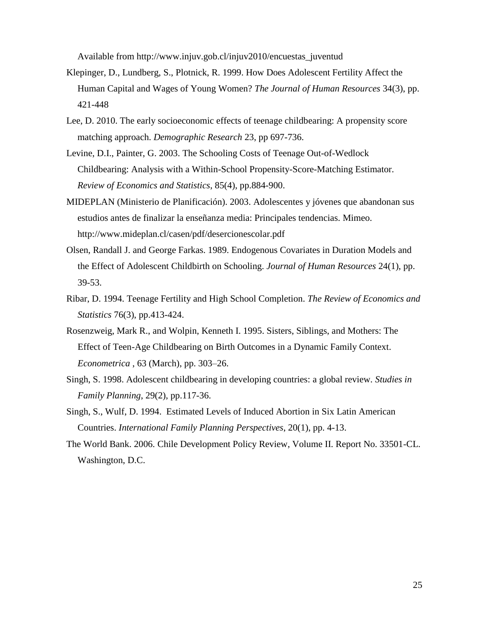Available from http://www.injuv.gob.cl/injuv2010/encuestas\_juventud

- Klepinger, D., Lundberg, S., Plotnick, R. 1999. How Does Adolescent Fertility Affect the Human Capital and Wages of Young Women? *The Journal of Human Resources* 34(3), pp. 421-448
- Lee, D. 2010. The early socioeconomic effects of teenage childbearing: A propensity score matching approach. *Demographic Research* 23, pp 697-736.
- Levine, D.I., Painter, G. 2003. The Schooling Costs of Teenage Out-of-Wedlock Childbearing: Analysis with a Within-School Propensity-Score-Matching Estimator. *Review of Economics and Statistics*, 85(4), pp.884-900.
- MIDEPLAN (Ministerio de Planificación). 2003. Adolescentes y jóvenes que abandonan sus estudios antes de finalizar la enseñanza media: Principales tendencias. Mimeo. http://www.mideplan.cl/casen/pdf/desercionescolar.pdf
- Olsen, Randall J. and George Farkas. 1989. Endogenous Covariates in Duration Models and the Effect of Adolescent Childbirth on Schooling. *Journal of Human Resources* 24(1), pp. 39-53.
- Ribar, D. 1994. Teenage Fertility and High School Completion. *The Review of Economics and Statistics* 76(3), pp.413-424.
- Rosenzweig, Mark R., and Wolpin, Kenneth I. 1995. Sisters, Siblings, and Mothers: The Effect of Teen-Age Childbearing on Birth Outcomes in a Dynamic Family Context. *Econometrica* , 63 (March), pp. 303–26.
- Singh, S. 1998. Adolescent childbearing in developing countries: a global review. *Studies in Family Planning*, 29(2), pp.117-36.
- Singh, S., Wulf, D. 1994. Estimated Levels of Induced Abortion in Six Latin American Countries. *International Family Planning Perspectives*, 20(1), pp. 4-13.
- The World Bank. 2006. Chile Development Policy Review, Volume II. Report No. 33501-CL. Washington, D.C.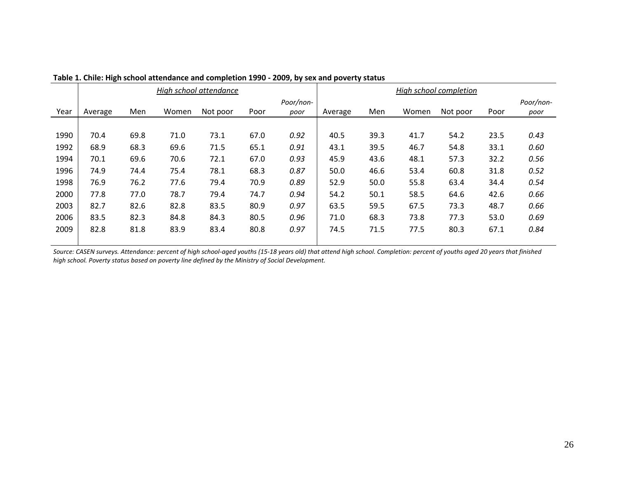|      |         |      |       | High school attendance |      |                   | High school completion |      |       |          |      |                   |
|------|---------|------|-------|------------------------|------|-------------------|------------------------|------|-------|----------|------|-------------------|
| Year | Average | Men  | Women | Not poor               | Poor | Poor/non-<br>poor | Average                | Men  | Women | Not poor | Poor | Poor/non-<br>poor |
|      |         |      |       |                        |      |                   |                        |      |       |          |      |                   |
| 1990 | 70.4    | 69.8 | 71.0  | 73.1                   | 67.0 | 0.92              | 40.5                   | 39.3 | 41.7  | 54.2     | 23.5 | 0.43              |
| 1992 | 68.9    | 68.3 | 69.6  | 71.5                   | 65.1 | 0.91              | 43.1                   | 39.5 | 46.7  | 54.8     | 33.1 | 0.60              |
| 1994 | 70.1    | 69.6 | 70.6  | 72.1                   | 67.0 | 0.93              | 45.9                   | 43.6 | 48.1  | 57.3     | 32.2 | 0.56              |
| 1996 | 74.9    | 74.4 | 75.4  | 78.1                   | 68.3 | 0.87              | 50.0                   | 46.6 | 53.4  | 60.8     | 31.8 | 0.52              |
| 1998 | 76.9    | 76.2 | 77.6  | 79.4                   | 70.9 | 0.89              | 52.9                   | 50.0 | 55.8  | 63.4     | 34.4 | 0.54              |
| 2000 | 77.8    | 77.0 | 78.7  | 79.4                   | 74.7 | 0.94              | 54.2                   | 50.1 | 58.5  | 64.6     | 42.6 | 0.66              |
| 2003 | 82.7    | 82.6 | 82.8  | 83.5                   | 80.9 | 0.97              | 63.5                   | 59.5 | 67.5  | 73.3     | 48.7 | 0.66              |
| 2006 | 83.5    | 82.3 | 84.8  | 84.3                   | 80.5 | 0.96              | 71.0                   | 68.3 | 73.8  | 77.3     | 53.0 | 0.69              |
| 2009 | 82.8    | 81.8 | 83.9  | 83.4                   | 80.8 | 0.97              | 74.5                   | 71.5 | 77.5  | 80.3     | 67.1 | 0.84              |
|      |         |      |       |                        |      |                   |                        |      |       |          |      |                   |

| Table 1. Chile: High school attendance and completion 1990 - 2009, by sex and poverty status |  |  |
|----------------------------------------------------------------------------------------------|--|--|
|----------------------------------------------------------------------------------------------|--|--|

*Source: CASEN surveys. Attendance: percent of high school-aged youths (15-18 years old) that attend high school. Completion: percent of youths aged 20 years that finished high school. Poverty status based on poverty line defined by the Ministry of Social Development.*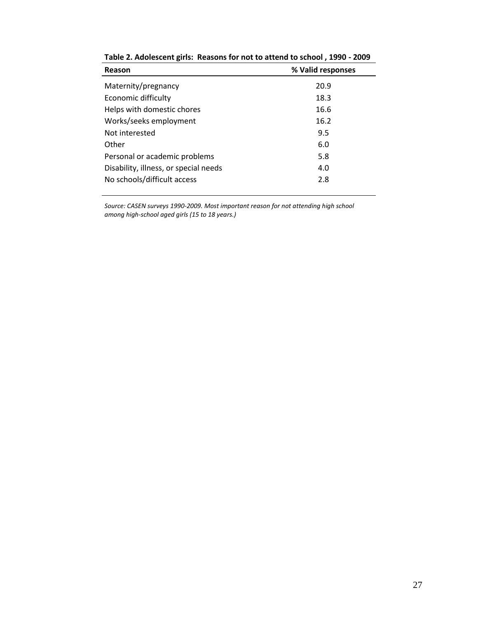| Reason                                | % Valid responses |
|---------------------------------------|-------------------|
| Maternity/pregnancy                   | 20.9              |
| Economic difficulty                   | 18.3              |
| Helps with domestic chores            | 16.6              |
| Works/seeks employment                | 16.2              |
| Not interested                        | 9.5               |
| Other                                 | 6.0               |
| Personal or academic problems         | 5.8               |
| Disability, illness, or special needs | 4.0               |
| No schools/difficult access           | 2.8               |

**Table 2. Adolescent girls: Reasons for not to attend to school , 1990 - 2009**

*Source: CASEN surveys 1990-2009. Most important reason for not attending high school among high-school aged girls (15 to 18 years.)*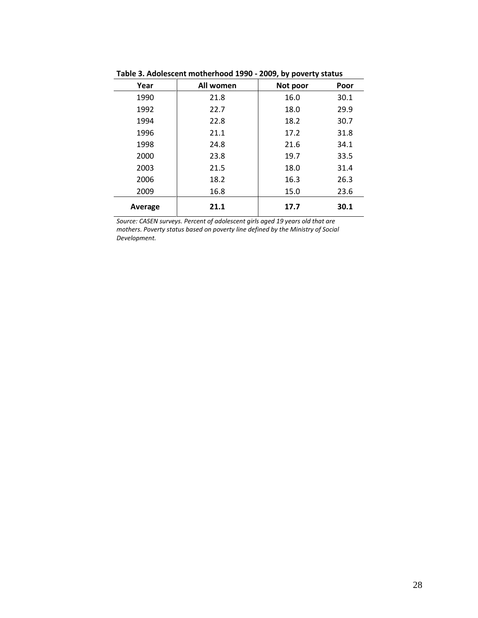|         |           | .        |      |
|---------|-----------|----------|------|
| Year    | All women | Not poor | Poor |
| 1990    | 21.8      | 16.0     | 30.1 |
| 1992    | 22.7      | 18.0     | 29.9 |
| 1994    | 22.8      | 18.2     | 30.7 |
| 1996    | 21.1      | 17.2     | 31.8 |
| 1998    | 24.8      | 21.6     | 34.1 |
| 2000    | 23.8      | 19.7     | 33.5 |
| 2003    | 21.5      | 18.0     | 31.4 |
| 2006    | 18.2      | 16.3     | 26.3 |
| 2009    | 16.8      | 15.0     | 23.6 |
| Average | 21.1      | 17.7     | 30.1 |

**Table 3. Adolescent motherhood 1990 - 2009, by poverty status**

*Source: CASEN surveys. Percent of adolescent girls aged 19 years old that are mothers. Poverty status based on poverty line defined by the Ministry of Social Development.*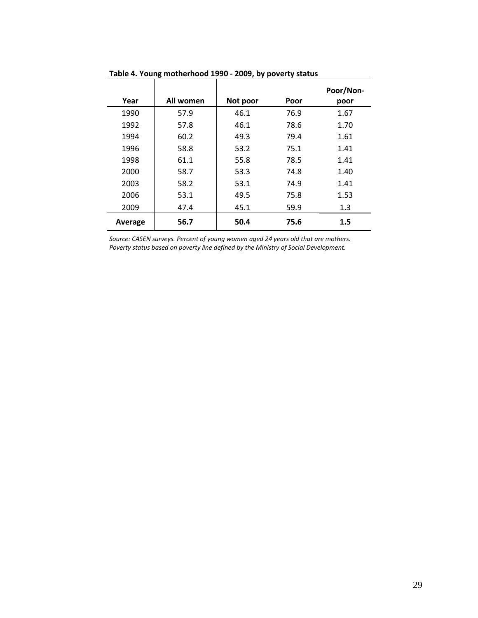|         |           |          |      | Poor/Non- |
|---------|-----------|----------|------|-----------|
| Year    | All women | Not poor | Poor | poor      |
| 1990    | 57.9      | 46.1     | 76.9 | 1.67      |
| 1992    | 57.8      | 46.1     | 78.6 | 1.70      |
| 1994    | 60.2      | 49.3     | 79.4 | 1.61      |
| 1996    | 58.8      | 53.2     | 75.1 | 1.41      |
| 1998    | 61.1      | 55.8     | 78.5 | 1.41      |
| 2000    | 58.7      | 53.3     | 74.8 | 1.40      |
| 2003    | 58.2      | 53.1     | 74.9 | 1.41      |
| 2006    | 53.1      | 49.5     | 75.8 | 1.53      |
| 2009    | 47.4      | 45.1     | 59.9 | 1.3       |
| Average | 56.7      | 50.4     | 75.6 | 1.5       |

#### **Table 4. Young motherhood 1990 - 2009, by poverty status**

*Source: CASEN surveys. Percent of young women aged 24 years old that are mothers. Poverty status based on poverty line defined by the Ministry of Social Development.*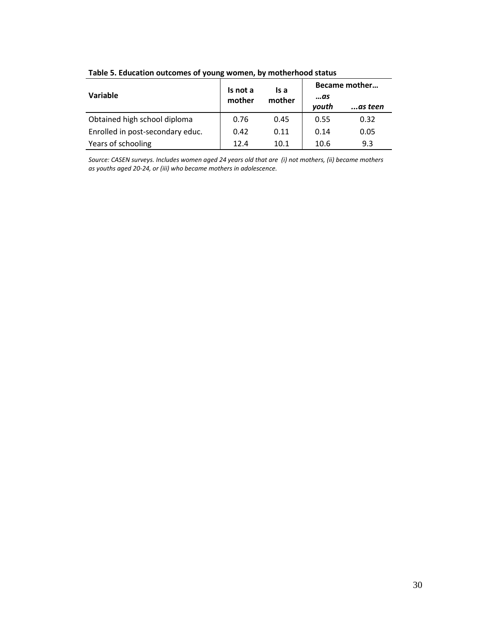|                                  | Is not a | ls a   | Became mother |          |  |  |
|----------------------------------|----------|--------|---------------|----------|--|--|
| Variable                         | mother   | mother | …as           |          |  |  |
|                                  |          |        | youth         | …as teen |  |  |
| Obtained high school diploma     | 0.76     | 0.45   | 0.55          | 0.32     |  |  |
| Enrolled in post-secondary educ. | 0.42     | 0.11   | 0.14          | 0.05     |  |  |
| Years of schooling               | 12.4     | 10.1   | 10.6          | 9.3      |  |  |

**Table 5. Education outcomes of young women, by motherhood status**

*Source: CASEN surveys. Includes women aged 24 years old that are (i) not mothers, (ii) became mothers as youths aged 20-24, or (iii) who became mothers in adolescence.*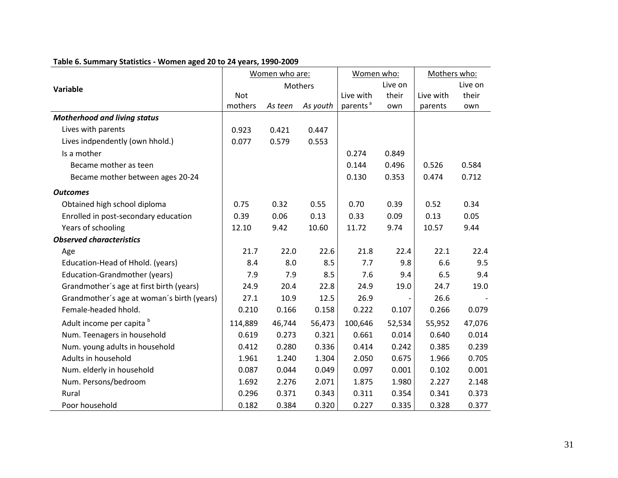|                                            |            | Women who are: |          | Women who:           |         | Mothers who: |         |
|--------------------------------------------|------------|----------------|----------|----------------------|---------|--------------|---------|
| Variable                                   |            |                | Mothers  |                      | Live on |              | Live on |
|                                            | <b>Not</b> |                |          | Live with            | their   | Live with    | their   |
|                                            | mothers    | As teen        | As youth | parents <sup>a</sup> | own     | parents      | own     |
| <b>Motherhood and living status</b>        |            |                |          |                      |         |              |         |
| Lives with parents                         | 0.923      | 0.421          | 0.447    |                      |         |              |         |
| Lives indpendently (own hhold.)            | 0.077      | 0.579          | 0.553    |                      |         |              |         |
| Is a mother                                |            |                |          | 0.274                | 0.849   |              |         |
| Became mother as teen                      |            |                |          | 0.144                | 0.496   | 0.526        | 0.584   |
| Became mother between ages 20-24           |            |                |          | 0.130                | 0.353   | 0.474        | 0.712   |
| <b>Outcomes</b>                            |            |                |          |                      |         |              |         |
| Obtained high school diploma               | 0.75       | 0.32           | 0.55     | 0.70                 | 0.39    | 0.52         | 0.34    |
| Enrolled in post-secondary education       | 0.39       | 0.06           | 0.13     | 0.33                 | 0.09    | 0.13         | 0.05    |
| Years of schooling                         | 12.10      | 9.42           | 10.60    | 11.72                | 9.74    | 10.57        | 9.44    |
| <b>Observed characteristics</b>            |            |                |          |                      |         |              |         |
| Age                                        | 21.7       | 22.0           | 22.6     | 21.8                 | 22.4    | 22.1         | 22.4    |
| Education-Head of Hhold. (years)           | 8.4        | 8.0            | 8.5      | 7.7                  | 9.8     | 6.6          | 9.5     |
| Education-Grandmother (years)              | 7.9        | 7.9            | 8.5      | 7.6                  | 9.4     | 6.5          | 9.4     |
| Grandmother's age at first birth (years)   | 24.9       | 20.4           | 22.8     | 24.9                 | 19.0    | 24.7         | 19.0    |
| Grandmother's age at woman's birth (years) | 27.1       | 10.9           | 12.5     | 26.9                 |         | 26.6         |         |
| Female-headed hhold.                       | 0.210      | 0.166          | 0.158    | 0.222                | 0.107   | 0.266        | 0.079   |
| Adult income per capita b                  | 114,889    | 46,744         | 56,473   | 100,646              | 52,534  | 55,952       | 47,076  |
| Num. Teenagers in household                | 0.619      | 0.273          | 0.321    | 0.661                | 0.014   | 0.640        | 0.014   |
| Num. young adults in household             | 0.412      | 0.280          | 0.336    | 0.414                | 0.242   | 0.385        | 0.239   |
| Adults in household                        | 1.961      | 1.240          | 1.304    | 2.050                | 0.675   | 1.966        | 0.705   |
| Num. elderly in household                  | 0.087      | 0.044          | 0.049    | 0.097                | 0.001   | 0.102        | 0.001   |
| Num. Persons/bedroom                       | 1.692      | 2.276          | 2.071    | 1.875                | 1.980   | 2.227        | 2.148   |
| Rural                                      | 0.296      | 0.371          | 0.343    | 0.311                | 0.354   | 0.341        | 0.373   |
| Poor household                             | 0.182      | 0.384          | 0.320    | 0.227                | 0.335   | 0.328        | 0.377   |

## **Table 6. Summary Statistics - Women aged 20 to 24 years, 1990-2009**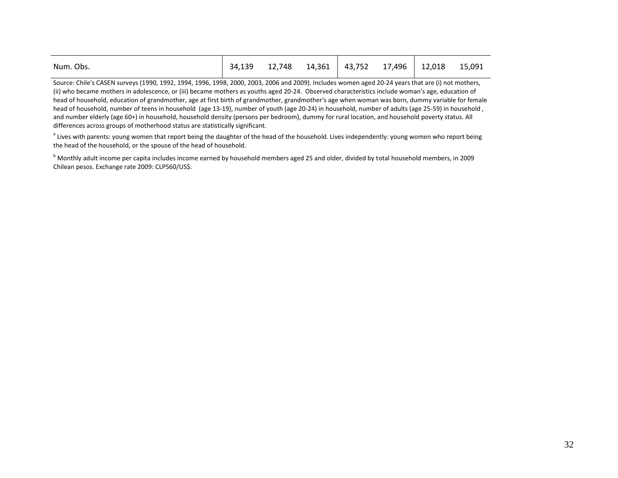| Num. Obs. | 34,139 |  |  | 12,748  14,361   43,752  17,496   12,018  15,091 |  |
|-----------|--------|--|--|--------------------------------------------------|--|
|           |        |  |  |                                                  |  |

Source: Chile's CASEN surveys (1990, 1992, 1994, 1996, 1998, 2000, 2003, 2006 and 2009). Includes women aged 20-24 years that are (i) not mothers, (ii) who became mothers in adolescence, or (iii) became mothers as youths aged 20-24. Observed characteristics include woman's age, education of head of household, education of grandmother, age at first birth of grandmother, grandmother's age when woman was born, dummy variable for female head of household, number of teens in household (age 13-19), number of youth (age 20-24) in household, number of adults (age 25-59) in household, and number elderly (age 60+) in household, household density (persons per bedroom), dummy for rural location, and household poverty status. All differences across groups of motherhood status are statistically significant.

<sup>a</sup> Lives with parents: young women that report being the daughter of the head of the household. Lives independently: young women who report being the head of the household, or the spouse of the head of household.

b Monthly adult income per capita includes income earned by household members aged 25 and older, divided by total household members, in 2009 Chilean pesos. Exchange rate 2009: CLP560/US\$.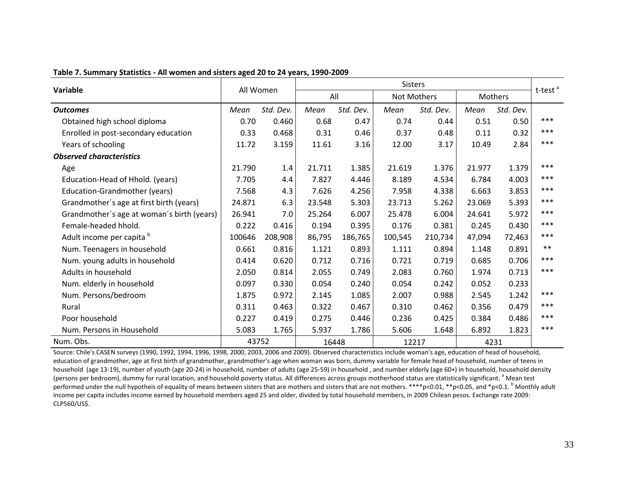|                                            | All Women |           | <b>Sisters</b> |           |             |           |         |           |                     |
|--------------------------------------------|-----------|-----------|----------------|-----------|-------------|-----------|---------|-----------|---------------------|
| Variable                                   |           |           | All            |           | Not Mothers |           | Mothers |           | t-test <sup>a</sup> |
| <b>Outcomes</b>                            | Mean      | Std. Dev. | Mean           | Std. Dev. | Mean        | Std. Dev. | Mean    | Std. Dev. |                     |
| Obtained high school diploma               | 0.70      | 0.460     | 0.68           | 0.47      | 0.74        | 0.44      | 0.51    | 0.50      | ***                 |
| Enrolled in post-secondary education       | 0.33      | 0.468     | 0.31           | 0.46      | 0.37        | 0.48      | 0.11    | 0.32      | ***                 |
| Years of schooling                         | 11.72     | 3.159     | 11.61          | 3.16      | 12.00       | 3.17      | 10.49   | 2.84      | ***                 |
| <b>Observed characteristics</b>            |           |           |                |           |             |           |         |           |                     |
| Age                                        | 21.790    | 1.4       | 21.711         | 1.385     | 21.619      | 1.376     | 21.977  | 1.379     | ***                 |
| Education-Head of Hhold. (years)           | 7.705     | 4.4       | 7.827          | 4.446     | 8.189       | 4.534     | 6.784   | 4.003     | ***                 |
| Education-Grandmother (years)              | 7.568     | 4.3       | 7.626          | 4.256     | 7.958       | 4.338     | 6.663   | 3.853     | ***                 |
| Grandmother's age at first birth (years)   | 24.871    | 6.3       | 23.548         | 5.303     | 23.713      | 5.262     | 23.069  | 5.393     | ***                 |
| Grandmother's age at woman's birth (years) | 26.941    | 7.0       | 25.264         | 6.007     | 25.478      | 6.004     | 24.641  | 5.972     | ***                 |
| Female-headed hhold.                       | 0.222     | 0.416     | 0.194          | 0.395     | 0.176       | 0.381     | 0.245   | 0.430     | ***                 |
| Adult income per capita b                  | 100646    | 208,908   | 86,795         | 186,765   | 100,545     | 210,734   | 47,094  | 72,463    | ***                 |
| Num. Teenagers in household                | 0.661     | 0.816     | 1.121          | 0.893     | 1.111       | 0.894     | 1.148   | 0.891     | $***$               |
| Num. young adults in household             | 0.414     | 0.620     | 0.712          | 0.716     | 0.721       | 0.719     | 0.685   | 0.706     | $***$               |
| Adults in household                        | 2.050     | 0.814     | 2.055          | 0.749     | 2.083       | 0.760     | 1.974   | 0.713     | ***                 |
| Num. elderly in household                  | 0.097     | 0.330     | 0.054          | 0.240     | 0.054       | 0.242     | 0.052   | 0.233     |                     |
| Num. Persons/bedroom                       | 1.875     | 0.972     | 2.145          | 1.085     | 2.007       | 0.988     | 2.545   | 1.242     | ***                 |
| Rural                                      | 0.311     | 0.463     | 0.322          | 0.467     | 0.310       | 0.462     | 0.356   | 0.479     | ***                 |
| Poor household                             | 0.227     | 0.419     | 0.275          | 0.446     | 0.236       | 0.425     | 0.384   | 0.486     | ***                 |
| Num. Persons in Household                  | 5.083     | 1.765     | 5.937          | 1.786     | 5.606       | 1.648     | 6.892   | 1.823     | ***                 |
| Num. Obs.                                  | 43752     |           | 16448          |           | 12217       |           | 4231    |           |                     |

**Table 7. Summary Statistics - All women and sisters aged 20 to 24 years, 1990-2009**

Source: Chile's CASEN surveys (1990, 1992, 1994, 1996, 1998, 2000, 2003, 2006 and 2009). Observed characteristics include woman's age, education of head of household, education of grandmother, age at first birth of grandmother, grandmother's age when woman was born, dummy variable for female head of household, number of teens in household (age 13-19), number of youth (age 20-24) in household, number of adults (age 25-59) in household , and number elderly (age 60+) in household, household density (persons per bedroom), dummy for rural location, and household poverty status. All differences across groups motherhood status are statistically significant.<sup>a</sup> Mean test performed under the null hypotheis of equality of means between sisters that are mothers and sisters that are not mothers. \*\*\*\*p<0.01, \*\*p<0.05, and \*p<0.1. <sup>b</sup> Monthly adult income per capita includes income earned by household members aged 25 and older, divided by total household members, in 2009 Chilean pesos. Exchange rate 2009: CLP560/US\$.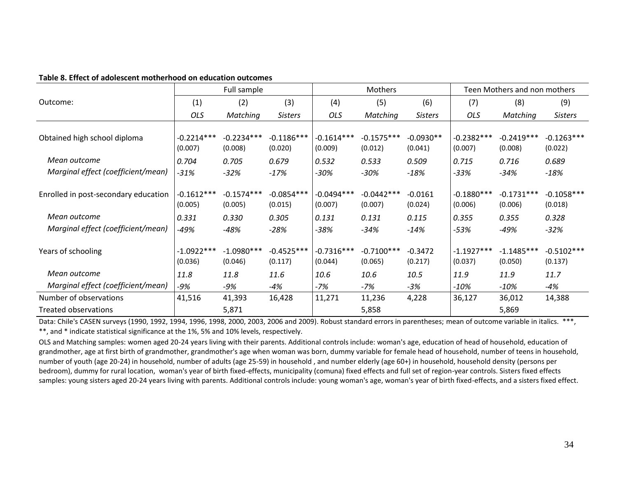| Table 8. Effect of adolescent motherhood on education outcomes |  |
|----------------------------------------------------------------|--|
|----------------------------------------------------------------|--|

|                                                      |                                  | Full sample                      |                                  |                                  | Mothers                          |                               |                                  | Teen Mothers and non mothers     |                                  |
|------------------------------------------------------|----------------------------------|----------------------------------|----------------------------------|----------------------------------|----------------------------------|-------------------------------|----------------------------------|----------------------------------|----------------------------------|
| Outcome:                                             | (1)                              | (2)                              | (3)                              | (4)                              | (5)                              | (6)                           | (7)                              | (8)                              | (9)                              |
|                                                      | OLS                              | Matching                         | <b>Sisters</b>                   | OLS                              | Matching                         | <b>Sisters</b>                | <b>OLS</b>                       | Matching                         | <b>Sisters</b>                   |
| Obtained high school diploma                         | $-0.2214***$<br>(0.007)          | $-0.2234***$<br>(0.008)          | $-0.1186***$<br>(0.020)          | $-0.1614***$<br>(0.009)          | $-0.1575***$<br>(0.012)          | $-0.0930**$<br>(0.041)        | $-0.2382***$<br>(0.007)          | $-0.2419***$<br>(0.008)          | $-0.1263***$<br>(0.022)          |
| Mean outcome                                         | 0.704                            | 0.705                            | 0.679                            | 0.532                            | 0.533                            | 0.509                         | 0.715                            | 0.716                            | 0.689                            |
| Marginal effect (coefficient/mean)                   | $-31%$                           | $-32%$                           | $-17%$                           | -30%                             | $-30%$                           | $-18%$                        | -33%                             | $-34%$                           | $-18%$                           |
| Enrolled in post-secondary education<br>Mean outcome | $-0.1612***$<br>(0.005)<br>0.331 | $-0.1574***$<br>(0.005)<br>0.330 | $-0.0854***$<br>(0.015)<br>0.305 | $-0.0494***$<br>(0.007)<br>0.131 | $-0.0442***$<br>(0.007)<br>0.131 | $-0.0161$<br>(0.024)<br>0.115 | $-0.1880***$<br>(0.006)<br>0.355 | $-0.1731***$<br>(0.006)<br>0.355 | $-0.1058***$<br>(0.018)<br>0.328 |
| Marginal effect (coefficient/mean)                   | -49%                             | $-48%$                           | $-28%$                           | -38%                             | $-34%$                           | $-14%$                        | -53%                             | $-49%$                           | $-32%$                           |
| Years of schooling                                   | $-1.0922***$<br>(0.036)          | $-1.0980***$<br>(0.046)          | $-0.4525***$<br>(0.117)          | $-0.7316***$<br>(0.044)          | $-0.7100***$<br>(0.065)          | $-0.3472$<br>(0.217)          | $-1.1927***$<br>(0.037)          | $-1.1485***$<br>(0.050)          | $-0.5102***$<br>(0.137)          |
| Mean outcome                                         | 11.8                             | 11.8                             | 11.6                             | 10.6                             | 10.6                             | 10.5                          | 11.9                             | 11.9                             | 11.7                             |
| Marginal effect (coefficient/mean)                   | -9%                              | -9%                              | -4%                              | -7%                              | -7%                              | $-3%$                         | $-10%$                           | $-10%$                           | -4%                              |
| Number of observations                               | 41,516                           | 41,393                           | 16,428                           | 11,271                           | 11,236                           | 4,228                         | 36,127                           | 36,012                           | 14,388                           |
| Treated observations                                 |                                  | 5,871                            |                                  |                                  | 5,858                            |                               |                                  | 5,869                            |                                  |

Data: Chile's CASEN surveys (1990, 1992, 1994, 1996, 1998, 2000, 2003, 2006 and 2009). Robust standard errors in parentheses; mean of outcome variable in italics. \*\*\*, \*\*, and \* indicate statistical significance at the 1%, 5% and 10% levels, respectively.

OLS and Matching samples: women aged 20-24 years living with their parents. Additional controls include: woman's age, education of head of household, education of grandmother, age at first birth of grandmother, grandmother's age when woman was born, dummy variable for female head of household, number of teens in household, number of youth (age 20-24) in household, number of adults (age 25-59) in household , and number elderly (age 60+) in household, household density (persons per bedroom), dummy for rural location, woman's year of birth fixed-effects, municipality (comuna) fixed effects and full set of region-year controls. Sisters fixed effects samples: young sisters aged 20-24 years living with parents. Additional controls include: young woman's age, woman's year of birth fixed-effects, and a sisters fixed effect.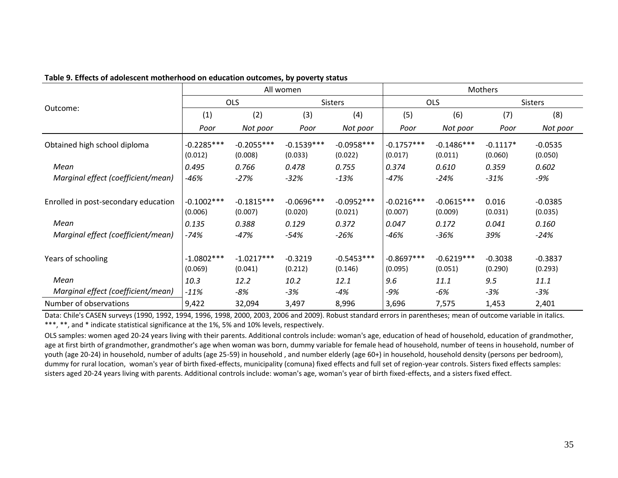|                                          |              |              | All women    |                |              |              | Mothers    |                |
|------------------------------------------|--------------|--------------|--------------|----------------|--------------|--------------|------------|----------------|
| Outcome:<br>Obtained high school diploma |              | <b>OLS</b>   |              | <b>Sisters</b> |              | <b>OLS</b>   |            | <b>Sisters</b> |
|                                          | (1)          | (2)          | (3)          | (4)            | (5)          | (6)          | (7)        | (8)            |
|                                          | Poor         | Not poor     | Poor         | Not poor       | Poor         | Not poor     | Poor       | Not poor       |
|                                          | $-0.2285***$ | $-0.2055***$ | $-0.1539***$ | $-0.0958***$   | $-0.1757***$ | $-0.1486***$ | $-0.1117*$ | $-0.0535$      |
|                                          | (0.012)      | (0.008)      | (0.033)      | (0.022)        | (0.017)      | (0.011)      | (0.060)    | (0.050)        |
| Mean                                     | 0.495        | 0.766        | 0.478        | 0.755          | 0.374        | 0.610        | 0.359      | 0.602          |
| Marginal effect (coefficient/mean)       | -46%         | $-27%$       | $-32%$       | $-13%$         | $-47%$       | $-24%$       | $-31%$     | -9%            |
|                                          |              |              |              |                |              |              |            |                |
| Enrolled in post-secondary education     | $-0.1002***$ | $-0.1815***$ | $-0.0696***$ | $-0.0952***$   | $-0.0216***$ | $-0.0615***$ | 0.016      | $-0.0385$      |
|                                          | (0.006)      | (0.007)      | (0.020)      | (0.021)        | (0.007)      | (0.009)      | (0.031)    | (0.035)        |
| Mean                                     | 0.135        | 0.388        | 0.129        | 0.372          | 0.047        | 0.172        | 0.041      | 0.160          |
| Marginal effect (coefficient/mean)       | -74%         | $-47%$       | $-54%$       | -26%           | -46%         | $-36%$       | 39%        | $-24%$         |
| Years of schooling                       | $-1.0802***$ | $-1.0217***$ | $-0.3219$    | $-0.5453***$   | $-0.8697***$ | $-0.6219***$ | $-0.3038$  | $-0.3837$      |
|                                          | (0.069)      | (0.041)      | (0.212)      | (0.146)        | (0.095)      | (0.051)      | (0.290)    | (0.293)        |
| Mean                                     | 10.3         | 12.2         | 10.2         | 12.1           | 9.6          | 11.1         | 9.5        | 11.1           |
| Marginal effect (coefficient/mean)       | $-11%$       | -8%          | $-3%$        | -4%            | -9%          | -6%          | $-3%$      | $-3%$          |
| Number of observations                   | 9,422        | 32,094       | 3,497        | 8,996          | 3,696        | 7,575        | 1,453      | 2,401          |

#### **Table 9. Effects of adolescent motherhood on education outcomes, by poverty status**

Data: Chile's CASEN surveys (1990, 1992, 1994, 1996, 1998, 2000, 2003, 2006 and 2009). Robust standard errors in parentheses; mean of outcome variable in italics. \*\*\*, \*\*, and \* indicate statistical significance at the 1%, 5% and 10% levels, respectively.

OLS samples: women aged 20-24 years living with their parents. Additional controls include: woman's age, education of head of household, education of grandmother, age at first birth of grandmother, grandmother's age when woman was born, dummy variable for female head of household, number of teens in household, number of youth (age 20-24) in household, number of adults (age 25-59) in household , and number elderly (age 60+) in household, household density (persons per bedroom), dummy for rural location, woman's year of birth fixed-effects, municipality (comuna) fixed effects and full set of region-year controls. Sisters fixed effects samples: sisters aged 20-24 years living with parents. Additional controls include: woman's age, woman's year of birth fixed-effects, and a sisters fixed effect.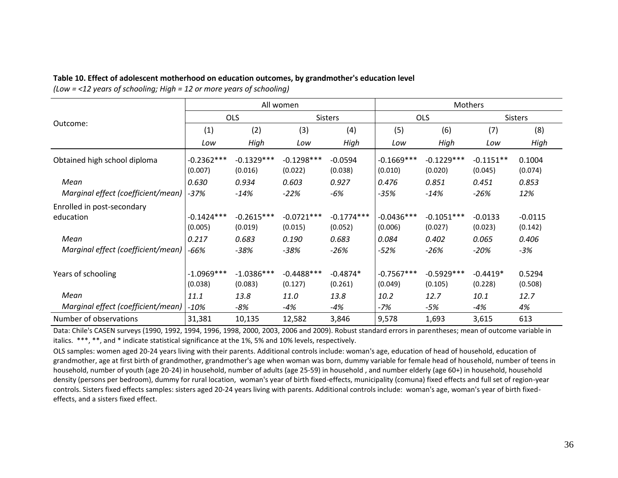#### **Table 10. Effect of adolescent motherhood on education outcomes, by grandmother's education level**

*(Low = <12 years of schooling; High = 12 or more years of schooling)*

|                                           | All women               |                         |                          |                         | <b>Mothers</b>          |                         |                        |                      |
|-------------------------------------------|-------------------------|-------------------------|--------------------------|-------------------------|-------------------------|-------------------------|------------------------|----------------------|
|                                           | <b>OLS</b>              |                         | <b>Sisters</b>           |                         | <b>OLS</b>              |                         | <b>Sisters</b>         |                      |
| Outcome:                                  | (1)                     | (2)                     | (3)                      | (4)                     | (5)                     | (6)                     | (7)                    | (8)                  |
|                                           | Low                     | High                    | Low                      | High                    | Low                     | High                    | Low                    | High                 |
| Obtained high school diploma              | $-0.2362***$<br>(0.007) | $-0.1329***$<br>(0.016) | $-0.1298***$<br>(0.022)  | $-0.0594$<br>(0.038)    | $-0.1669***$<br>(0.010) | $-0.1229***$<br>(0.020) | $-0.1151**$<br>(0.045) | 0.1004<br>(0.074)    |
| Mean                                      | 0.630                   | 0.934                   | 0.603                    | 0.927                   | 0.476                   | 0.851                   | 0.451                  | 0.853                |
| Marginal effect (coefficient/mean)   -37% |                         | $-14%$                  | $-22%$                   | $-6%$                   | $-35%$                  | $-14%$                  | $-26%$                 | 12%                  |
| Enrolled in post-secondary                |                         |                         |                          |                         |                         |                         |                        |                      |
| education                                 | $-0.1424***$<br>(0.005) | $-0.2615***$<br>(0.019) | $-0.0721***$<br>(0.015)  | $-0.1774***$<br>(0.052) | $-0.0436***$<br>(0.006) | $-0.1051***$<br>(0.027) | $-0.0133$<br>(0.023)   | $-0.0115$<br>(0.142) |
| Mean                                      | 0.217                   | 0.683                   | 0.190                    | 0.683                   | 0.084                   | 0.402                   | 0.065                  | 0.406                |
| Marginal effect (coefficient/mean)        | $-66%$                  | $-38%$                  | $-38%$                   | -26%                    | -52%                    | -26%                    | $-20%$                 | -3%                  |
| Years of schooling                        | $-1.0969***$<br>(0.038) | $-1.0386***$<br>(0.083) | $-0.4488$ ***<br>(0.127) | $-0.4874*$<br>(0.261)   | $-0.7567***$<br>(0.049) | $-0.5929***$<br>(0.105) | $-0.4419*$<br>(0.228)  | 0.5294<br>(0.508)    |
| Mean                                      | 11.1                    | 13.8                    | 11.0                     | 13.8                    | 10.2                    | 12.7                    | 10.1                   | 12.7                 |
| Marginal effect (coefficient/mean)        | $-10%$                  | $-8%$                   | $-4%$                    | -4%                     | -7%                     | -5%                     | $-4%$                  | 4%                   |
| Number of observations                    | 31,381                  | 10,135                  | 12,582                   | 3,846                   | 9,578                   | 1,693                   | 3,615                  | 613                  |

Data: Chile's CASEN surveys (1990, 1992, 1994, 1996, 1998, 2000, 2003, 2006 and 2009). Robust standard errors in parentheses; mean of outcome variable in italics. \*\*\*, \*\*, and \* indicate statistical significance at the 1%, 5% and 10% levels, respectively.

OLS samples: women aged 20-24 years living with their parents. Additional controls include: woman's age, education of head of household, education of grandmother, age at first birth of grandmother, grandmother's age when woman was born, dummy variable for female head of household, number of teens in household, number of youth (age 20-24) in household, number of adults (age 25-59) in household , and number elderly (age 60+) in household, household density (persons per bedroom), dummy for rural location, woman's year of birth fixed-effects, municipality (comuna) fixed effects and full set of region-year controls. Sisters fixed effects samples: sisters aged 20-24 years living with parents. Additional controls include: woman's age, woman's year of birth fixedeffects, and a sisters fixed effect.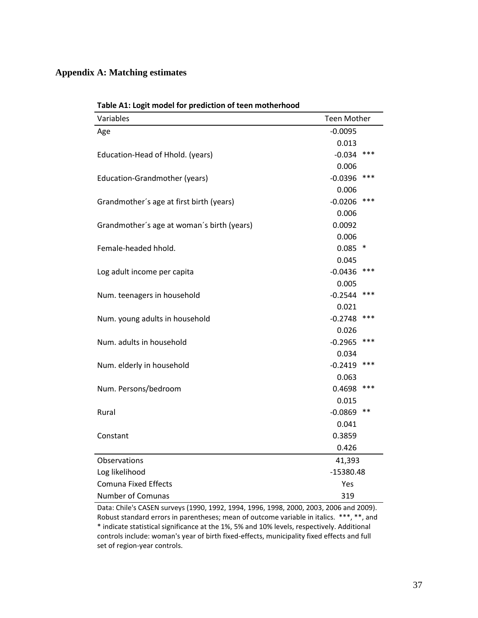### **Appendix A: Matching estimates**

| Table A1: Logit model for prediction of teen motherhood |                    |             |  |
|---------------------------------------------------------|--------------------|-------------|--|
| Variables                                               | <b>Teen Mother</b> |             |  |
| Age                                                     | $-0.0095$          |             |  |
|                                                         | 0.013              |             |  |
| Education-Head of Hhold. (years)                        | $-0.034$           | ***         |  |
|                                                         | 0.006              |             |  |
| <b>Education-Grandmother (years)</b>                    | $-0.0396$          | ***         |  |
|                                                         | 0.006              |             |  |
| Grandmother's age at first birth (years)                | $-0.0206$          | ***         |  |
|                                                         | 0.006              |             |  |
| Grandmother's age at woman's birth (years)              | 0.0092             |             |  |
|                                                         | 0.006              |             |  |
| Female-headed hhold.                                    | 0.085              | $\ast$      |  |
|                                                         | 0.045              |             |  |
| Log adult income per capita                             | $-0.0436$          | ***         |  |
|                                                         | 0.005              |             |  |
| Num. teenagers in household                             | $-0.2544$          | ***         |  |
|                                                         | 0.021              |             |  |
| Num. young adults in household                          | $-0.2748$          | ***         |  |
|                                                         | 0.026              |             |  |
| Num. adults in household                                | $-0.2965$          | ***         |  |
|                                                         | 0.034              |             |  |
| Num. elderly in household                               | $-0.2419$          | ***         |  |
|                                                         | 0.063              |             |  |
| Num. Persons/bedroom                                    | 0.4698             | ***         |  |
|                                                         | 0.015              | **          |  |
| Rural                                                   | $-0.0869$          |             |  |
|                                                         | 0.041              |             |  |
| Constant                                                | 0.3859             |             |  |
|                                                         | 0.426              |             |  |
| Observations                                            | 41,393             |             |  |
| Log likelihood                                          |                    | $-15380.48$ |  |
| <b>Comuna Fixed Effects</b>                             | Yes                |             |  |
| <b>Number of Comunas</b>                                | 319                |             |  |

Data: Chile's CASEN surveys (1990, 1992, 1994, 1996, 1998, 2000, 2003, 2006 and 2009). Robust standard errors in parentheses; mean of outcome variable in italics. \*\*\*, \*\*, and \* indicate statistical significance at the 1%, 5% and 10% levels, respectively. Additional controls include: woman's year of birth fixed-effects, municipality fixed effects and full set of region-year controls.